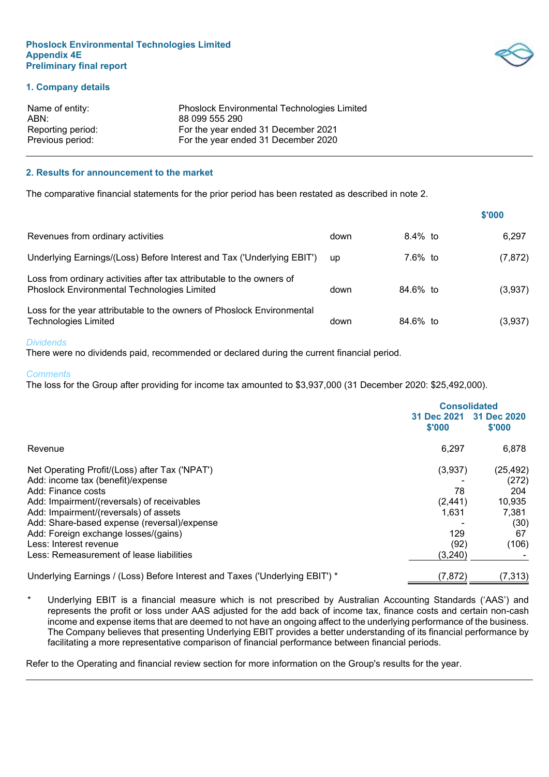

## **1. Company details**

| <b>Phoslock Environmental Technologies Limited</b> |
|----------------------------------------------------|
| 88 099 555 290                                     |
| For the year ended 31 December 2021                |
| For the year ended 31 December 2020                |
|                                                    |

## **2. Results for announcement to the market**

The comparative financial statements for the prior period has been restated as described in note 2.

|                                                                                                                      |      |            | \$'000   |
|----------------------------------------------------------------------------------------------------------------------|------|------------|----------|
| Revenues from ordinary activities                                                                                    | down | $8.4\%$ to | 6.297    |
| Underlying Earnings/(Loss) Before Interest and Tax ('Underlying EBIT')                                               | up   | 7.6% to    | (7, 872) |
| Loss from ordinary activities after tax attributable to the owners of<br>Phoslock Environmental Technologies Limited | down | 84.6% to   | (3,937)  |
| Loss for the year attributable to the owners of Phoslock Environmental<br><b>Technologies Limited</b>                | down | 84.6% to   | (3,937)  |

#### *Dividends*

There were no dividends paid, recommended or declared during the current financial period.

#### *Comments*

The loss for the Group after providing for income tax amounted to \$3,937,000 (31 December 2020: \$25,492,000).

|                                                                              | <b>Consolidated</b>   |                       |
|------------------------------------------------------------------------------|-----------------------|-----------------------|
|                                                                              | 31 Dec 2021<br>\$'000 | 31 Dec 2020<br>\$'000 |
| Revenue                                                                      | 6,297                 | 6,878                 |
| Net Operating Profit/(Loss) after Tax ('NPAT')                               | (3,937)               | (25, 492)             |
| Add: income tax (benefit)/expense                                            |                       | (272)                 |
| Add: Finance costs                                                           | 78                    | 204                   |
| Add: Impairment/(reversals) of receivables                                   | (2, 441)              | 10,935                |
| Add: Impairment/(reversals) of assets                                        | 1.631                 | 7,381                 |
| Add: Share-based expense (reversal)/expense                                  |                       | (30)                  |
| Add: Foreign exchange losses/(gains)                                         | 129                   | 67                    |
| Less: Interest revenue                                                       | (92)                  | (106)                 |
| Less: Remeasurement of lease liabilities                                     | (3, 240)              |                       |
| Underlying Earnings / (Loss) Before Interest and Taxes ('Underlying EBIT') * | (7, 872)              | (7, 313)              |

Underlying EBIT is a financial measure which is not prescribed by Australian Accounting Standards ('AAS') and represents the profit or loss under AAS adjusted for the add back of income tax, finance costs and certain non-cash income and expense items that are deemed to not have an ongoing affect to the underlying performance of the business. The Company believes that presenting Underlying EBIT provides a better understanding of its financial performance by facilitating a more representative comparison of financial performance between financial periods.

Refer to the Operating and financial review section for more information on the Group's results for the year.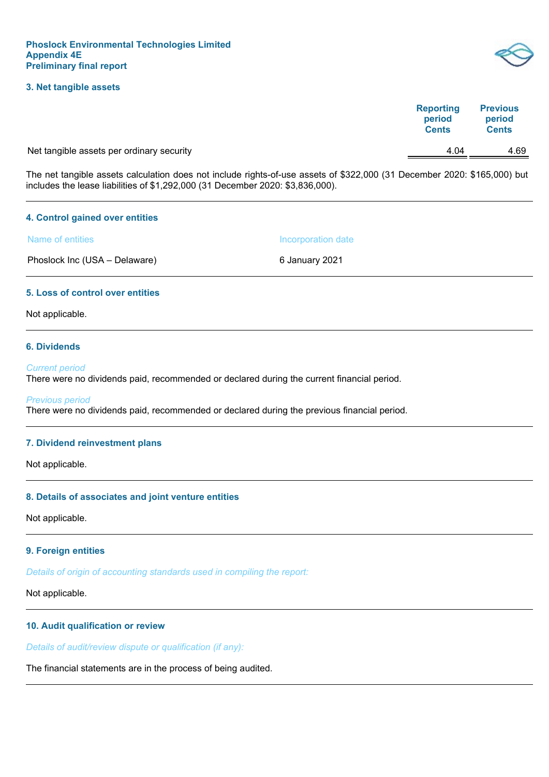## **3. Net tangible assets**

| <b>Reporting</b> | <b>Previous</b> |
|------------------|-----------------|
| period           | period          |
| <b>Cents</b>     | <b>Cents</b>    |

Net tangible assets per ordinary security and the control of the control of the 4.69 AM AM 4.69

The net tangible assets calculation does not include rights-of-use assets of \$322,000 (31 December 2020: \$165,000) but includes the lease liabilities of \$1,292,000 (31 December 2020: \$3,836,000).

## **4. Control gained over entities**

Name of entities **Incorporation** date

Phoslock Inc (USA – Delaware) 6 January 2021

## **5. Loss of control over entities**

Not applicable.

## **6. Dividends**

#### *Current period*

There were no dividends paid, recommended or declared during the current financial period.

#### *Previous period*

There were no dividends paid, recommended or declared during the previous financial period.

## **7. Dividend reinvestment plans**

Not applicable.

## **8. Details of associates and joint venture entities**

Not applicable.

## **9. Foreign entities**

*Details of origin of accounting standards used in compiling the report:*

Not applicable.

## **10. Audit qualification or review**

*Details of audit/review dispute or qualification (if any):*

The financial statements are in the process of being audited.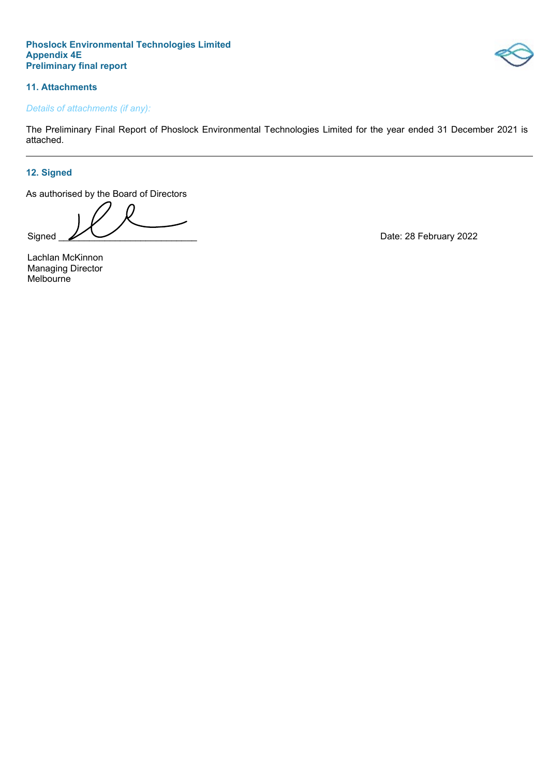

# **11. Attachments**

# *Details of attachments (if any):*

The Preliminary Final Report of Phoslock Environmental Technologies Limited for the year ended 31 December 2021 is attached.

# **12. Signed**

As authorised by the Board of Directors

Signed <u>2002</u>

Lachlan McKinnon Managing Director Melbourne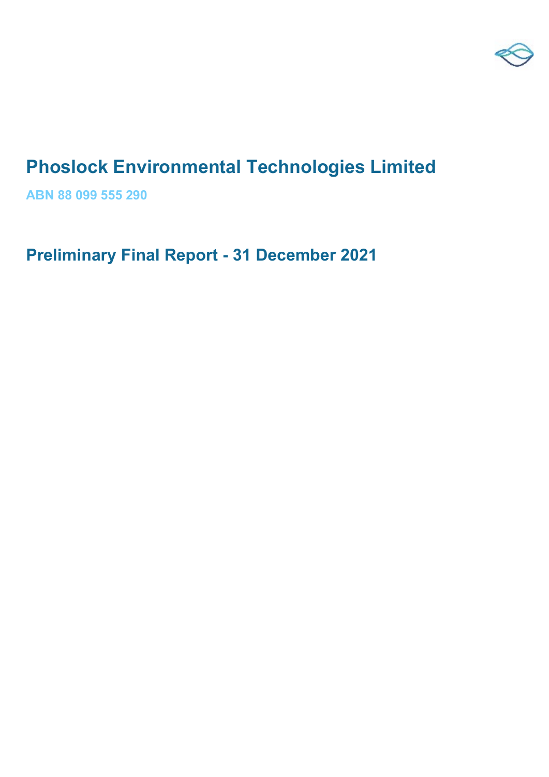

# **Phoslock Environmental Technologies Limited**

**ABN 88 099 555 290**

**Preliminary Final Report - 31 December 2021**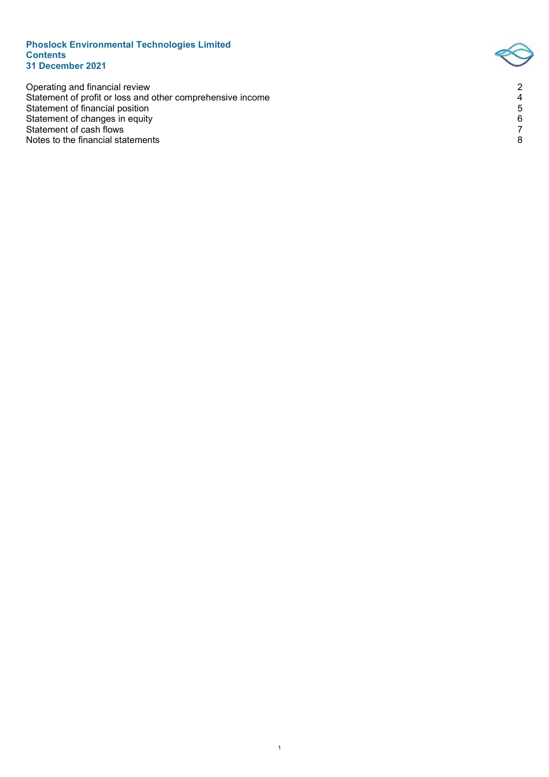## **Phoslock Environmental Technologies Limited Contents 31 December 2021**

Operating and financial review 2 Statement of profit or loss and other comprehensive income 4 Statement of financial position 5 Statement of changes in equity 6 Statement of cash flows 7 Notes to the financial statements 8

1

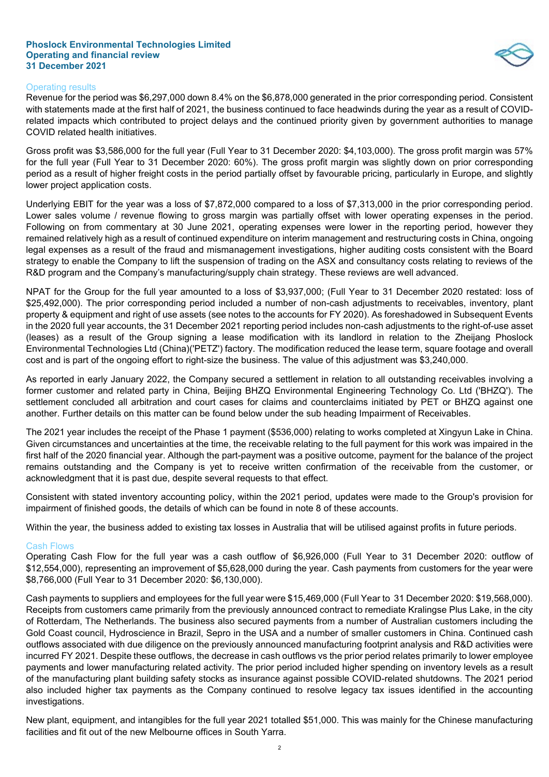## **Phoslock Environmental Technologies Limited Operating and financial review 31 December 2021**



## Operating results

Revenue for the period was \$6,297,000 down 8.4% on the \$6,878,000 generated in the prior corresponding period. Consistent with statements made at the first half of 2021, the business continued to face headwinds during the year as a result of COVIDrelated impacts which contributed to project delays and the continued priority given by government authorities to manage COVID related health initiatives.

Gross profit was \$3,586,000 for the full year (Full Year to 31 December 2020: \$4,103,000). The gross profit margin was 57% for the full year (Full Year to 31 December 2020: 60%). The gross profit margin was slightly down on prior corresponding period as a result of higher freight costs in the period partially offset by favourable pricing, particularly in Europe, and slightly lower project application costs.

Underlying EBIT for the year was a loss of \$7,872,000 compared to a loss of \$7,313,000 in the prior corresponding period. Lower sales volume / revenue flowing to gross margin was partially offset with lower operating expenses in the period. Following on from commentary at 30 June 2021, operating expenses were lower in the reporting period, however they remained relatively high as a result of continued expenditure on interim management and restructuring costs in China, ongoing legal expenses as a result of the fraud and mismanagement investigations, higher auditing costs consistent with the Board strategy to enable the Company to lift the suspension of trading on the ASX and consultancy costs relating to reviews of the R&D program and the Company's manufacturing/supply chain strategy. These reviews are well advanced.

NPAT for the Group for the full year amounted to a loss of \$3,937,000; (Full Year to 31 December 2020 restated: loss of \$25,492,000). The prior corresponding period included a number of non-cash adjustments to receivables, inventory, plant property & equipment and right of use assets (see notes to the accounts for FY 2020). As foreshadowed in Subsequent Events in the 2020 full year accounts, the 31 December 2021 reporting period includes non-cash adjustments to the right-of-use asset (leases) as a result of the Group signing a lease modification with its landlord in relation to the Zheijang Phoslock Environmental Technologies Ltd (China)('PETZ') factory. The modification reduced the lease term, square footage and overall cost and is part of the ongoing effort to right-size the business. The value of this adjustment was \$3,240,000.

As reported in early January 2022, the Company secured a settlement in relation to all outstanding receivables involving a former customer and related party in China, Beijing BHZQ Environmental Engineering Technology Co. Ltd ('BHZQ'). The settlement concluded all arbitration and court cases for claims and counterclaims initiated by PET or BHZQ against one another. Further details on this matter can be found below under the sub heading Impairment of Receivables.

The 2021 year includes the receipt of the Phase 1 payment (\$536,000) relating to works completed at Xingyun Lake in China. Given circumstances and uncertainties at the time, the receivable relating to the full payment for this work was impaired in the first half of the 2020 financial year. Although the part-payment was a positive outcome, payment for the balance of the project remains outstanding and the Company is yet to receive written confirmation of the receivable from the customer, or acknowledgment that it is past due, despite several requests to that effect.

Consistent with stated inventory accounting policy, within the 2021 period, updates were made to the Group's provision for impairment of finished goods, the details of which can be found in note 8 of these accounts.

Within the year, the business added to existing tax losses in Australia that will be utilised against profits in future periods.

## Cash Flows

Operating Cash Flow for the full year was a cash outflow of \$6,926,000 (Full Year to 31 December 2020: outflow of \$12,554,000), representing an improvement of \$5,628,000 during the year. Cash payments from customers for the year were \$8,766,000 (Full Year to 31 December 2020: \$6,130,000).

Cash payments to suppliers and employees for the full year were \$15,469,000 (Full Year to  31 December 2020: \$19,568,000). Receipts from customers came primarily from the previously announced contract to remediate Kralingse Plus Lake, in the city of Rotterdam, The Netherlands. The business also secured payments from a number of Australian customers including the Gold Coast council, Hydroscience in Brazil, Sepro in the USA and a number of smaller customers in China. Continued cash outflows associated with due diligence on the previously announced manufacturing footprint analysis and R&D activities were incurred FY 2021. Despite these outflows, the decrease in cash outflows vs the prior period relates primarily to lower employee payments and lower manufacturing related activity. The prior period included higher spending on inventory levels as a result of the manufacturing plant building safety stocks as insurance against possible COVID-related shutdowns. The 2021 period also included higher tax payments as the Company continued to resolve legacy tax issues identified in the accounting investigations.

New plant, equipment, and intangibles for the full year 2021 totalled \$51,000. This was mainly for the Chinese manufacturing facilities and fit out of the new Melbourne offices in South Yarra.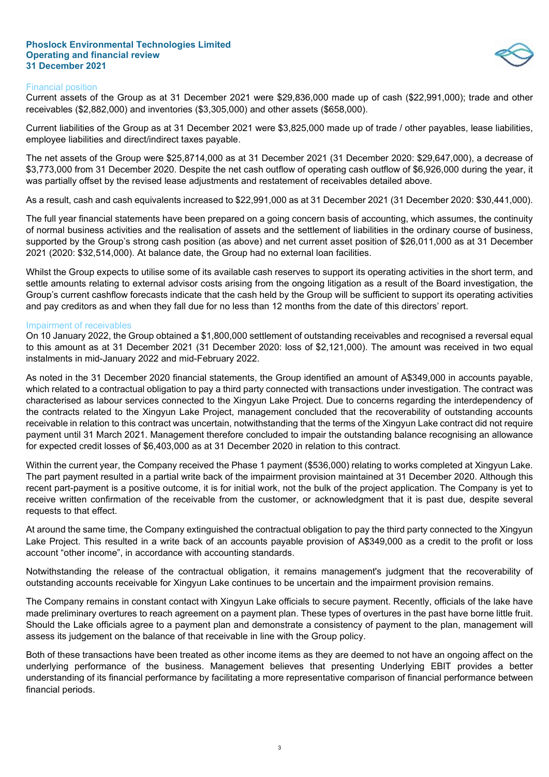## **Phoslock Environmental Technologies Limited Operating and financial review 31 December 2021**



## Financial position

Current assets of the Group as at 31 December 2021 were \$29,836,000 made up of cash (\$22,991,000); trade and other receivables (\$2,882,000) and inventories (\$3,305,000) and other assets (\$658,000).

Current liabilities of the Group as at 31 December 2021 were \$3,825,000 made up of trade / other payables, lease liabilities, employee liabilities and direct/indirect taxes payable.

The net assets of the Group were \$25,8714,000 as at 31 December 2021 (31 December 2020: \$29,647,000), a decrease of \$3,773,000 from 31 December 2020. Despite the net cash outflow of operating cash outflow of \$6,926,000 during the year, it was partially offset by the revised lease adjustments and restatement of receivables detailed above.

As a result, cash and cash equivalents increased to \$22,991,000 as at 31 December 2021 (31 December 2020: \$30,441,000).

The full year financial statements have been prepared on a going concern basis of accounting, which assumes, the continuity of normal business activities and the realisation of assets and the settlement of liabilities in the ordinary course of business, supported by the Group's strong cash position (as above) and net current asset position of \$26,011,000 as at 31 December 2021 (2020: \$32,514,000). At balance date, the Group had no external loan facilities.

Whilst the Group expects to utilise some of its available cash reserves to support its operating activities in the short term, and settle amounts relating to external advisor costs arising from the ongoing litigation as a result of the Board investigation, the Group's current cashflow forecasts indicate that the cash held by the Group will be sufficient to support its operating activities and pay creditors as and when they fall due for no less than 12 months from the date of this directors' report.

## Impairment of receivables

On 10 January 2022, the Group obtained a \$1,800,000 settlement of outstanding receivables and recognised a reversal equal to this amount as at 31 December 2021 (31 December 2020: loss of \$2,121,000). The amount was received in two equal instalments in mid-January 2022 and mid-February 2022.

As noted in the 31 December 2020 financial statements, the Group identified an amount of A\$349,000 in accounts payable, which related to a contractual obligation to pay a third party connected with transactions under investigation. The contract was characterised as labour services connected to the Xingyun Lake Project. Due to concerns regarding the interdependency of the contracts related to the Xingyun Lake Project, management concluded that the recoverability of outstanding accounts receivable in relation to this contract was uncertain, notwithstanding that the terms of the Xingyun Lake contract did not require payment until 31 March 2021. Management therefore concluded to impair the outstanding balance recognising an allowance for expected credit losses of \$6,403,000 as at 31 December 2020 in relation to this contract.

Within the current year, the Company received the Phase 1 payment (\$536,000) relating to works completed at Xingyun Lake. The part payment resulted in a partial write back of the impairment provision maintained at 31 December 2020. Although this recent part-payment is a positive outcome, it is for initial work, not the bulk of the project application. The Company is yet to receive written confirmation of the receivable from the customer, or acknowledgment that it is past due, despite several requests to that effect.

At around the same time, the Company extinguished the contractual obligation to pay the third party connected to the Xingyun Lake Project. This resulted in a write back of an accounts payable provision of A\$349,000 as a credit to the profit or loss account "other income", in accordance with accounting standards.

Notwithstanding the release of the contractual obligation, it remains management's judgment that the recoverability of outstanding accounts receivable for Xingyun Lake continues to be uncertain and the impairment provision remains.

The Company remains in constant contact with Xingyun Lake officials to secure payment. Recently, officials of the lake have made preliminary overtures to reach agreement on a payment plan. These types of overtures in the past have borne little fruit. Should the Lake officials agree to a payment plan and demonstrate a consistency of payment to the plan, management will assess its judgement on the balance of that receivable in line with the Group policy.

Both of these transactions have been treated as other income items as they are deemed to not have an ongoing affect on the underlying performance of the business. Management believes that presenting Underlying EBIT provides a better understanding of its financial performance by facilitating a more representative comparison of financial performance between financial periods.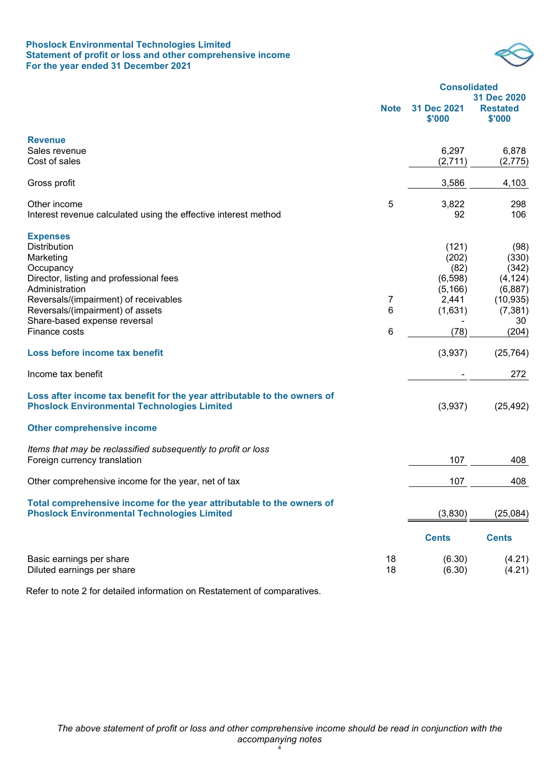## **Phoslock Environmental Technologies Limited Statement of profit or loss and other comprehensive income For the year ended 31 December 2021**



|                                                                                                                                |             | <b>Consolidated</b>   |                                          |
|--------------------------------------------------------------------------------------------------------------------------------|-------------|-----------------------|------------------------------------------|
|                                                                                                                                | <b>Note</b> | 31 Dec 2021<br>\$'000 | 31 Dec 2020<br><b>Restated</b><br>\$'000 |
| <b>Revenue</b>                                                                                                                 |             |                       |                                          |
| Sales revenue                                                                                                                  |             | 6,297                 | 6,878                                    |
| Cost of sales                                                                                                                  |             | (2,711)               | (2, 775)                                 |
| Gross profit                                                                                                                   |             | 3,586                 | 4,103                                    |
| Other income                                                                                                                   | 5           | 3,822                 | 298                                      |
| Interest revenue calculated using the effective interest method                                                                |             | 92                    | 106                                      |
| <b>Expenses</b>                                                                                                                |             |                       |                                          |
| <b>Distribution</b>                                                                                                            |             | (121)                 | (98)                                     |
| Marketing                                                                                                                      |             | (202)                 | (330)                                    |
| Occupancy<br>Director, listing and professional fees                                                                           |             | (82)<br>(6, 598)      | (342)<br>(4, 124)                        |
| Administration                                                                                                                 |             | (5, 166)              | (6,887)                                  |
| Reversals/(impairment) of receivables                                                                                          | 7           | 2,441                 | (10, 935)                                |
| Reversals/(impairment) of assets                                                                                               | 6           | (1,631)               | (7, 381)                                 |
| Share-based expense reversal                                                                                                   |             |                       | 30                                       |
| Finance costs                                                                                                                  | 6           | (78)                  | (204)                                    |
| Loss before income tax benefit                                                                                                 |             | (3,937)               | (25, 764)                                |
| Income tax benefit                                                                                                             |             |                       | 272                                      |
| Loss after income tax benefit for the year attributable to the owners of<br><b>Phoslock Environmental Technologies Limited</b> |             | (3,937)               | (25, 492)                                |
| <b>Other comprehensive income</b>                                                                                              |             |                       |                                          |
| Items that may be reclassified subsequently to profit or loss                                                                  |             |                       |                                          |
| Foreign currency translation                                                                                                   |             | 107                   | 408                                      |
| Other comprehensive income for the year, net of tax                                                                            |             | 107                   | 408                                      |
| Total comprehensive income for the year attributable to the owners of<br><b>Phoslock Environmental Technologies Limited</b>    |             | (3,830)               | (25,084)                                 |
|                                                                                                                                |             | <b>Cents</b>          | <b>Cents</b>                             |
| Basic earnings per share<br>Diluted earnings per share                                                                         | 18<br>18    | (6.30)<br>(6.30)      | (4.21)<br>(4.21)                         |

Refer to note 2 for detailed information on Restatement of comparatives.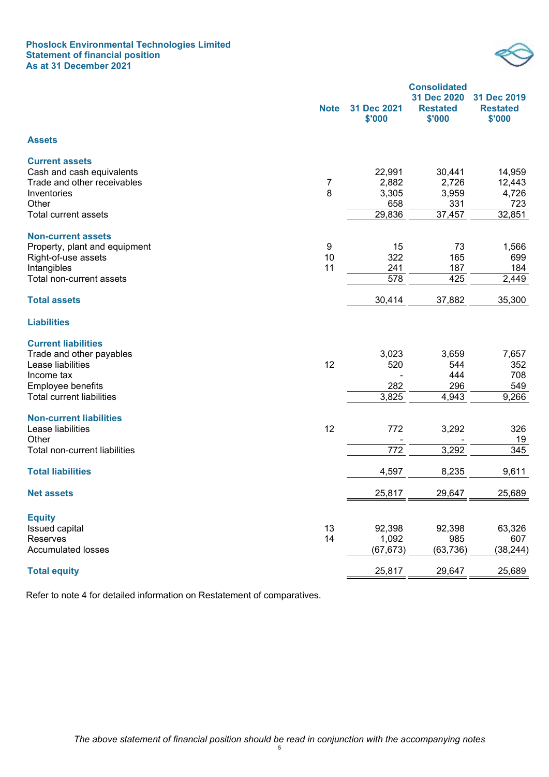## **Phoslock Environmental Technologies Limited Statement of financial position As at 31 December 2021**



|                                  | <b>Note</b> | 31 Dec 2021<br>\$'000 | <b>Consolidated</b><br>31 Dec 2020<br><b>Restated</b><br>\$'000 | 31 Dec 2019<br><b>Restated</b><br>\$'000 |
|----------------------------------|-------------|-----------------------|-----------------------------------------------------------------|------------------------------------------|
| <b>Assets</b>                    |             |                       |                                                                 |                                          |
| <b>Current assets</b>            |             |                       |                                                                 |                                          |
| Cash and cash equivalents        |             | 22,991                | 30,441                                                          | 14,959                                   |
| Trade and other receivables      | 7           | 2,882                 | 2,726                                                           | 12,443                                   |
| Inventories                      | 8           | 3,305                 | 3,959                                                           | 4,726                                    |
| Other                            |             | 658                   | 331                                                             | 723                                      |
| <b>Total current assets</b>      |             | 29,836                | 37,457                                                          | 32,851                                   |
| <b>Non-current assets</b>        |             |                       |                                                                 |                                          |
| Property, plant and equipment    | 9           | 15                    | 73                                                              | 1,566                                    |
| Right-of-use assets              | 10          | 322                   | 165                                                             | 699                                      |
| Intangibles                      | 11          | 241                   | 187                                                             | 184                                      |
| Total non-current assets         |             | 578                   | 425                                                             | 2,449                                    |
| <b>Total assets</b>              |             | 30,414                | 37,882                                                          | 35,300                                   |
| <b>Liabilities</b>               |             |                       |                                                                 |                                          |
| <b>Current liabilities</b>       |             |                       |                                                                 |                                          |
| Trade and other payables         |             | 3,023                 | 3,659                                                           | 7,657                                    |
| Lease liabilities                | 12          | 520                   | 544                                                             | 352                                      |
| Income tax                       |             |                       | 444                                                             | 708                                      |
| Employee benefits                |             | 282                   | 296                                                             | 549                                      |
| <b>Total current liabilities</b> |             | 3,825                 | 4,943                                                           | 9,266                                    |
| <b>Non-current liabilities</b>   |             |                       |                                                                 |                                          |
| Lease liabilities                | 12          | 772                   | 3,292                                                           | 326                                      |
| Other                            |             |                       |                                                                 | 19                                       |
| Total non-current liabilities    |             | 772                   | 3,292                                                           | 345                                      |
| <b>Total liabilities</b>         |             | 4,597                 | 8,235                                                           | 9,611                                    |
| <b>Net assets</b>                |             | 25,817                | 29,647                                                          | 25,689                                   |
| <b>Equity</b>                    |             |                       |                                                                 |                                          |
| Issued capital                   | 13          | 92,398                | 92,398                                                          | 63,326                                   |
| Reserves                         | 14          | 1,092                 | 985                                                             | 607                                      |
| <b>Accumulated losses</b>        |             | (67, 673)             | (63, 736)                                                       | (38, 244)                                |
| <b>Total equity</b>              |             | 25,817                | 29,647                                                          | 25,689                                   |

Refer to note 4 for detailed information on Restatement of comparatives.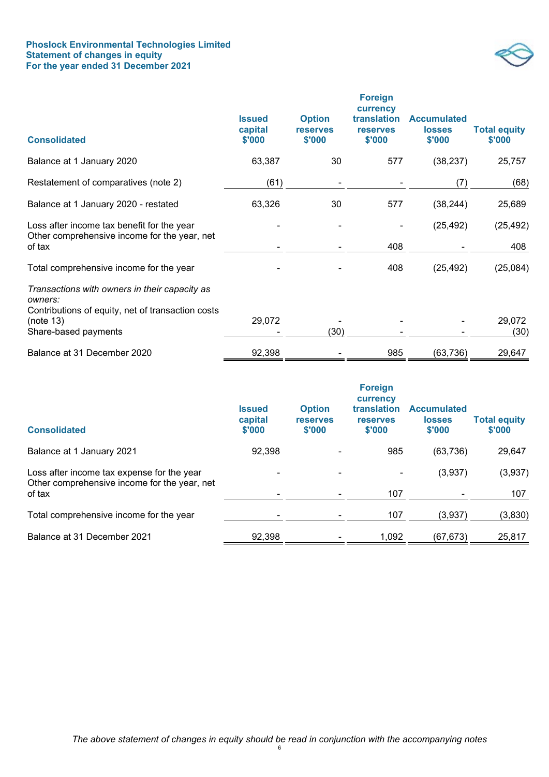## **Phoslock Environmental Technologies Limited Statement of changes in equity For the year ended 31 December 2021**



| <b>Consolidated</b>                                                                                                                                | <b>Issued</b><br>capital<br>\$'000 | <b>Option</b><br><b>reserves</b><br>\$'000 | <b>Foreign</b><br>currency<br>translation<br><b>reserves</b><br>\$'000 | <b>Accumulated</b><br><b>losses</b><br>\$'000 | <b>Total equity</b><br>\$'000 |
|----------------------------------------------------------------------------------------------------------------------------------------------------|------------------------------------|--------------------------------------------|------------------------------------------------------------------------|-----------------------------------------------|-------------------------------|
| Balance at 1 January 2020                                                                                                                          | 63,387                             | 30                                         | 577                                                                    | (38, 237)                                     | 25,757                        |
| Restatement of comparatives (note 2)                                                                                                               | (61)                               |                                            |                                                                        | (7)                                           | (68)                          |
| Balance at 1 January 2020 - restated                                                                                                               | 63,326                             | 30                                         | 577                                                                    | (38, 244)                                     | 25,689                        |
| Loss after income tax benefit for the year<br>Other comprehensive income for the year, net<br>of tax                                               |                                    |                                            | 408                                                                    | (25, 492)                                     | (25, 492)<br>408              |
| Total comprehensive income for the year                                                                                                            |                                    |                                            | 408                                                                    | (25, 492)                                     | (25,084)                      |
| Transactions with owners in their capacity as<br>owners:<br>Contributions of equity, net of transaction costs<br>(note 13)<br>Share-based payments | 29,072                             | (30)                                       |                                                                        |                                               | 29,072<br>(30)                |
| Balance at 31 December 2020                                                                                                                        | 92,398                             |                                            | 985                                                                    | (63, 736)                                     | 29,647                        |

| <b>Consolidated</b>                                                                        | <b>Issued</b><br>capital<br>\$'000 | <b>Option</b><br><b>reserves</b><br>\$'000 | <b>Foreign</b><br>currency<br>translation<br><b>reserves</b><br>\$'000 | <b>Accumulated</b><br><b>losses</b><br>\$'000 | <b>Total equity</b><br>\$'000 |
|--------------------------------------------------------------------------------------------|------------------------------------|--------------------------------------------|------------------------------------------------------------------------|-----------------------------------------------|-------------------------------|
| Balance at 1 January 2021                                                                  | 92,398                             |                                            | 985                                                                    | (63, 736)                                     | 29,647                        |
| Loss after income tax expense for the year<br>Other comprehensive income for the year, net |                                    |                                            |                                                                        | (3,937)                                       | (3,937)                       |
| of tax                                                                                     |                                    |                                            | 107                                                                    |                                               | 107                           |
| Total comprehensive income for the year                                                    |                                    |                                            | 107                                                                    | (3,937)                                       | (3,830)                       |
| Balance at 31 December 2021                                                                | 92,398                             |                                            | 1,092                                                                  | (67, 673)                                     | 25,817                        |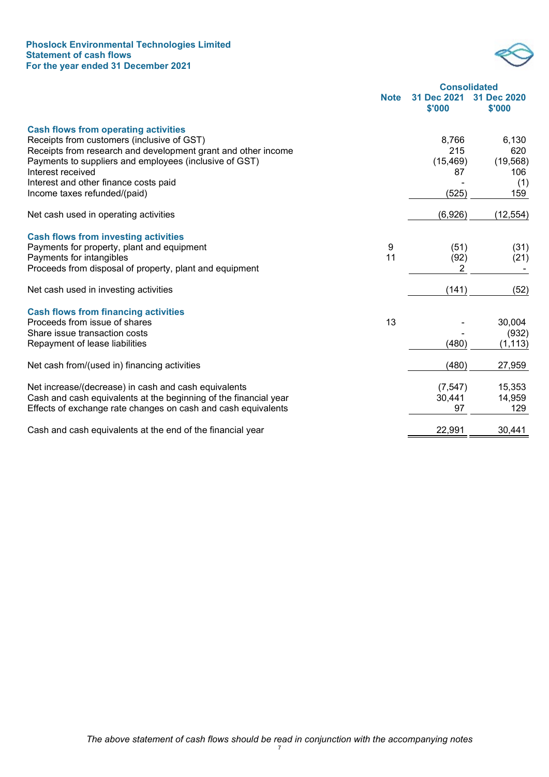## **Phoslock Environmental Technologies Limited Statement of cash flows For the year ended 31 December 2021**



|                                                                  |             | <b>Consolidated</b>   |                       |
|------------------------------------------------------------------|-------------|-----------------------|-----------------------|
|                                                                  | <b>Note</b> | 31 Dec 2021<br>\$'000 | 31 Dec 2020<br>\$'000 |
| <b>Cash flows from operating activities</b>                      |             |                       |                       |
| Receipts from customers (inclusive of GST)                       |             | 8,766                 | 6,130                 |
| Receipts from research and development grant and other income    |             | 215                   | 620                   |
| Payments to suppliers and employees (inclusive of GST)           |             | (15, 469)             | (19, 568)             |
| Interest received                                                |             | 87                    | 106                   |
| Interest and other finance costs paid                            |             |                       | (1)<br>159            |
| Income taxes refunded/(paid)                                     |             | (525)                 |                       |
| Net cash used in operating activities                            |             | (6,926)               | (12, 554)             |
| <b>Cash flows from investing activities</b>                      |             |                       |                       |
| Payments for property, plant and equipment                       | 9           | (51)                  | (31)                  |
| Payments for intangibles                                         | 11          | (92)                  | (21)                  |
| Proceeds from disposal of property, plant and equipment          |             | 2                     |                       |
| Net cash used in investing activities                            |             | (141)                 | (52)                  |
| <b>Cash flows from financing activities</b>                      |             |                       |                       |
| Proceeds from issue of shares                                    | 13          |                       | 30,004                |
| Share issue transaction costs                                    |             |                       | (932)                 |
| Repayment of lease liabilities                                   |             | (480)                 | (1, 113)              |
| Net cash from/(used in) financing activities                     |             | (480)                 | 27,959                |
| Net increase/(decrease) in cash and cash equivalents             |             | (7, 547)              | 15,353                |
| Cash and cash equivalents at the beginning of the financial year |             | 30,441                | 14,959                |
| Effects of exchange rate changes on cash and cash equivalents    |             | 97                    | 129                   |
| Cash and cash equivalents at the end of the financial year       |             | 22,991                | 30,441                |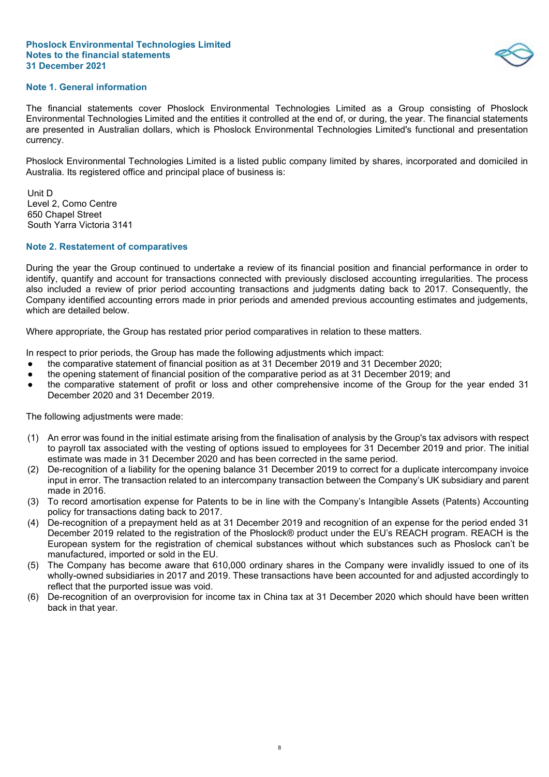## **Note 1. General information**

The financial statements cover Phoslock Environmental Technologies Limited as a Group consisting of Phoslock Environmental Technologies Limited and the entities it controlled at the end of, or during, the year. The financial statements are presented in Australian dollars, which is Phoslock Environmental Technologies Limited's functional and presentation currency.

Phoslock Environmental Technologies Limited is a listed public company limited by shares, incorporated and domiciled in Australia. Its registered office and principal place of business is:

Unit D Level 2, Como Centre 650 Chapel Street South Yarra Victoria 3141

## **Note 2. Restatement of comparatives**

During the year the Group continued to undertake a review of its financial position and financial performance in order to identify, quantify and account for transactions connected with previously disclosed accounting irregularities. The process also included a review of prior period accounting transactions and judgments dating back to 2017. Consequently, the Company identified accounting errors made in prior periods and amended previous accounting estimates and judgements, which are detailed below.

Where appropriate, the Group has restated prior period comparatives in relation to these matters.

In respect to prior periods, the Group has made the following adjustments which impact:

- the comparative statement of financial position as at 31 December 2019 and 31 December 2020;
- the opening statement of financial position of the comparative period as at 31 December 2019; and
- the comparative statement of profit or loss and other comprehensive income of the Group for the year ended 31 December 2020 and 31 December 2019.

The following adjustments were made:

- (1) An error was found in the initial estimate arising from the finalisation of analysis by the Group's tax advisors with respect to payroll tax associated with the vesting of options issued to employees for 31 December 2019 and prior. The initial estimate was made in 31 December 2020 and has been corrected in the same period.
- (2) De-recognition of a liability for the opening balance 31 December 2019 to correct for a duplicate intercompany invoice input in error. The transaction related to an intercompany transaction between the Company's UK subsidiary and parent made in 2016.
- (3) To record amortisation expense for Patents to be in line with the Company's Intangible Assets (Patents) Accounting policy for transactions dating back to 2017.
- (4) De-recognition of a prepayment held as at 31 December 2019 and recognition of an expense for the period ended 31 December 2019 related to the registration of the Phoslock® product under the EU's REACH program. REACH is the European system for the registration of chemical substances without which substances such as Phoslock can't be manufactured, imported or sold in the EU.
- (5) The Company has become aware that 610,000 ordinary shares in the Company were invalidly issued to one of its wholly-owned subsidiaries in 2017 and 2019. These transactions have been accounted for and adjusted accordingly to reflect that the purported issue was void.
- (6) De-recognition of an overprovision for income tax in China tax at 31 December 2020 which should have been written back in that year.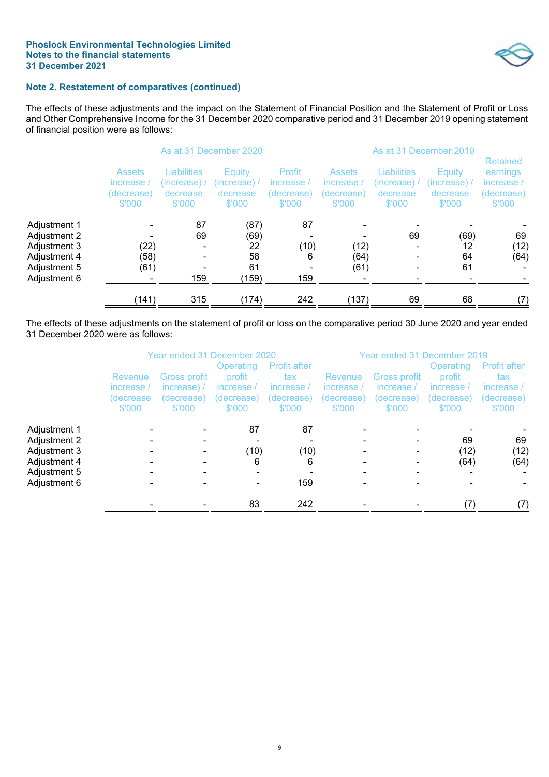

# **Note 2. Restatement of comparatives (continued)**

The effects of these adjustments and the impact on the Statement of Financial Position and the Statement of Profit or Loss and Other Comprehensive Income for the 31 December 2020 comparative period and 31 December 2019 opening statement of financial position were as follows:

|                                                                                              |                                                                                                               |                 | As at 31 December 2020                                                                            |                        |                                                   |                                                         |                                              |                                                                   |  |
|----------------------------------------------------------------------------------------------|---------------------------------------------------------------------------------------------------------------|-----------------|---------------------------------------------------------------------------------------------------|------------------------|---------------------------------------------------|---------------------------------------------------------|----------------------------------------------|-------------------------------------------------------------------|--|
|                                                                                              | <b>Liabilities</b><br><b>Assets</b><br>(increase) /<br>increase<br>(decrease)<br>decrease<br>\$'000<br>\$'000 |                 | Profit<br><b>Equity</b><br>(increase) /<br>increase<br>decrease<br>(decrease)<br>\$'000<br>\$'000 |                        | <b>Assets</b><br>increase<br>(decrease)<br>\$'000 | <b>Liabilities</b><br>(increase).<br>decrease<br>\$'000 | Equity<br>(increase) /<br>decrease<br>\$'000 | <b>Retained</b><br>earnings<br>increase /<br>(decrease)<br>\$'000 |  |
| Adjustment 1<br>Adjustment 2<br>Adjustment 3<br>Adjustment 4<br>Adjustment 5<br>Adjustment 6 | (22)<br>(58)<br>(61)                                                                                          | 87<br>69<br>159 | (87)<br>(69)<br>22<br>58<br>61<br>(159)                                                           | 87<br>(10)<br>6<br>159 | (12)<br>(64)<br>(61)<br>۰                         | 69<br>$\overline{\phantom{0}}$                          | (69)<br>12<br>64<br>61                       | 69<br>(12)<br>(64)                                                |  |
|                                                                                              | (141)                                                                                                         | 315             | (174)                                                                                             | 242                    | (137)                                             | 69                                                      | 68                                           | (7)                                                               |  |

The effects of these adjustments on the statement of profit or loss on the comparative period 30 June 2020 and year ended 31 December 2020 were as follows:

|              |                                              | Year ended 31 December 2020                         |                                                           |                                                                  |                                               | Year ended 31 December 2019                        |                                                           |                                                                  |  |
|--------------|----------------------------------------------|-----------------------------------------------------|-----------------------------------------------------------|------------------------------------------------------------------|-----------------------------------------------|----------------------------------------------------|-----------------------------------------------------------|------------------------------------------------------------------|--|
|              | Revenue<br>increase /<br>(decrease<br>\$'000 | Gross profit<br>increase) /<br>(decrease)<br>\$'000 | Operating<br>profit<br>increase /<br>(decrease)<br>\$'000 | <b>Profit after</b><br>tax<br>increase /<br>(decrease)<br>\$'000 | Revenue<br>increase /<br>(decrease)<br>\$'000 | Gross profit<br>increase /<br>(decrease)<br>\$'000 | Operating<br>profit<br>increase /<br>(decrease)<br>\$'000 | <b>Profit after</b><br>tax<br>increase /<br>(decrease)<br>\$'000 |  |
| Adjustment 1 |                                              |                                                     | 87                                                        | 87                                                               |                                               |                                                    |                                                           |                                                                  |  |
| Adjustment 2 |                                              |                                                     |                                                           |                                                                  |                                               |                                                    | 69                                                        | 69                                                               |  |
| Adjustment 3 |                                              |                                                     | (10)                                                      | (10)                                                             |                                               |                                                    | (12)                                                      | (12)                                                             |  |
| Adjustment 4 |                                              |                                                     | 6                                                         | 6                                                                |                                               |                                                    | (64)                                                      | (64)                                                             |  |
| Adjustment 5 |                                              |                                                     |                                                           |                                                                  |                                               |                                                    |                                                           |                                                                  |  |
| Adjustment 6 |                                              |                                                     |                                                           | 159                                                              |                                               |                                                    |                                                           |                                                                  |  |
|              |                                              |                                                     | 83                                                        | 242                                                              |                                               |                                                    |                                                           |                                                                  |  |
|              |                                              |                                                     |                                                           |                                                                  |                                               |                                                    |                                                           |                                                                  |  |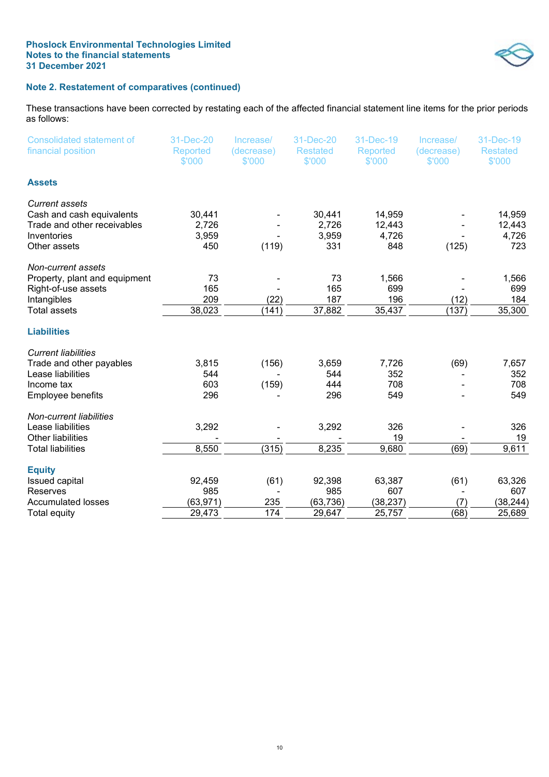

# **Note 2. Restatement of comparatives (continued)**

These transactions have been corrected by restating each of the affected financial statement line items for the prior periods as follows:

| <b>Consolidated statement of</b><br>financial position                                                           | 31-Dec-20<br><b>Reported</b><br>\$'000 | Increase/<br>(decrease)<br>\$'000 | 31-Dec-20<br><b>Restated</b><br>\$'000 | 31-Dec-19<br><b>Reported</b><br>\$'000 | Increase/<br>(decrease)<br>\$'000 | 31-Dec-19<br><b>Restated</b><br>\$'000 |
|------------------------------------------------------------------------------------------------------------------|----------------------------------------|-----------------------------------|----------------------------------------|----------------------------------------|-----------------------------------|----------------------------------------|
| <b>Assets</b>                                                                                                    |                                        |                                   |                                        |                                        |                                   |                                        |
| <b>Current assets</b><br>Cash and cash equivalents<br>Trade and other receivables<br>Inventories<br>Other assets | 30,441<br>2,726<br>3,959<br>450        | (119)                             | 30,441<br>2,726<br>3,959<br>331        | 14,959<br>12,443<br>4,726<br>848       | (125)                             | 14,959<br>12,443<br>4,726<br>723       |
| Non-current assets<br>Property, plant and equipment<br>Right-of-use assets<br>Intangibles<br>Total assets        | 73<br>165<br>209<br>38,023             | (22)<br>(141)                     | 73<br>165<br>187<br>37,882             | 1,566<br>699<br>196<br>35,437          | (12)<br>(137)                     | 1,566<br>699<br>184<br>35,300          |
| <b>Liabilities</b>                                                                                               |                                        |                                   |                                        |                                        |                                   |                                        |
| <b>Current liabilities</b><br>Trade and other payables<br>Lease liabilities<br>Income tax<br>Employee benefits   | 3,815<br>544<br>603<br>296             | (156)<br>(159)                    | 3,659<br>544<br>444<br>296             | 7,726<br>352<br>708<br>549             | (69)                              | 7,657<br>352<br>708<br>549             |
| Non-current liabilities<br>Lease liabilities<br>Other liabilities<br><b>Total liabilities</b>                    | 3,292<br>8,550                         | (315)                             | 3,292<br>8,235                         | 326<br>19<br>9,680                     | (69)                              | 326<br>19<br>9,611                     |
| <b>Equity</b><br><b>Issued capital</b><br><b>Reserves</b><br><b>Accumulated losses</b><br><b>Total equity</b>    | 92,459<br>985<br>(63, 971)<br>29,473   | (61)<br>235<br>174                | 92,398<br>985<br>(63, 736)<br>29,647   | 63,387<br>607<br>(38, 237)<br>25,757   | (61)<br>(7)<br>(68)               | 63,326<br>607<br>(38, 244)<br>25,689   |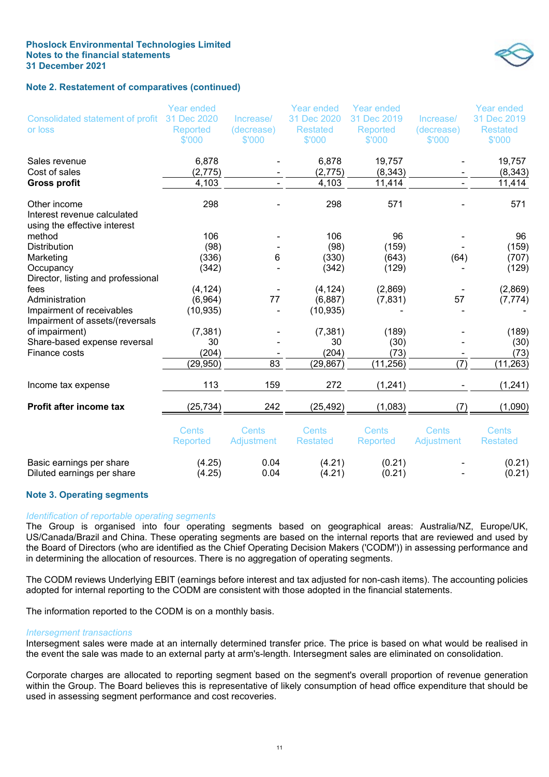## **Note 2. Restatement of comparatives (continued)**

Year ended

Consolidated statement of profit

| Consolidated statement of profit                             | 31 Dec 2020     | Increase/  | 31 Dec 2020     | 31 Dec 2019     | Increase/  | 31 Dec 2019     |
|--------------------------------------------------------------|-----------------|------------|-----------------|-----------------|------------|-----------------|
| or loss                                                      | Reported        | (decrease) | <b>Restated</b> | Reported        | (decrease) | <b>Restated</b> |
|                                                              | \$'000          | \$'000     | \$'000          | \$'000          | \$'000     | \$'000          |
| Sales revenue                                                | 6,878           |            | 6,878           | 19,757          |            | 19,757          |
| Cost of sales                                                | (2, 775)        |            | (2, 775)        | (8, 343)        |            | (8, 343)        |
| <b>Gross profit</b>                                          | 4,103           |            | 4,103           | 11,414          |            | 11,414          |
| Other income                                                 | 298             |            | 298             | 571             |            | 571             |
| Interest revenue calculated<br>using the effective interest  |                 |            |                 |                 |            |                 |
| method                                                       | 106             |            | 106             | 96              |            | 96              |
| <b>Distribution</b>                                          | (98)            |            | (98)            | (159)           |            | (159)           |
| Marketing                                                    | (336)           | 6          | (330)           | (643)           | (64)       | (707)           |
| Occupancy                                                    | (342)           |            | (342)           | (129)           |            | (129)           |
| Director, listing and professional                           |                 |            |                 |                 |            |                 |
| fees                                                         | (4, 124)        |            | (4, 124)        | (2,869)         |            | (2,869)         |
| Administration                                               | (6,964)         | 77         | (6,887)         | (7, 831)        | 57         | (7, 774)        |
| Impairment of receivables<br>Impairment of assets/(reversals | (10, 935)       |            | (10, 935)       |                 |            |                 |
| of impairment)                                               | (7, 381)        |            | (7, 381)        | (189)           |            | (189)           |
| Share-based expense reversal                                 | 30              |            | 30              | (30)            |            | (30)            |
| Finance costs                                                | (204)           |            | (204)           | (73)            |            | (73)            |
|                                                              | (29, 950)       | 83         | (29, 867)       | (11, 256)       | (7)        | (11, 263)       |
| Income tax expense                                           | 113             | 159        | 272             | (1, 241)        |            | (1, 241)        |
| Profit after income tax                                      | (25, 734)       | 242        | (25, 492)       | (1,083)         | (7)        | (1,090)         |
|                                                              | Cents           | Cents      | Cents           | Cents           | Cents      | Cents           |
|                                                              | <b>Reported</b> | Adjustment | <b>Restated</b> | <b>Reported</b> | Adjustment | <b>Restated</b> |
| Basic earnings per share                                     | (4.25)          | 0.04       | (4.21)          | (0.21)          |            | (0.21)          |
| Diluted earnings per share                                   | (4.25)          | 0.04       | (4.21)          | (0.21)          |            | (0.21)          |

Year ended

Year ended

## **Note 3. Operating segments**

## *Identification of reportable operating segments*

The Group is organised into four operating segments based on geographical areas: Australia/NZ, Europe/UK, US/Canada/Brazil and China. These operating segments are based on the internal reports that are reviewed and used by the Board of Directors (who are identified as the Chief Operating Decision Makers ('CODM')) in assessing performance and in determining the allocation of resources. There is no aggregation of operating segments.

The CODM reviews Underlying EBIT (earnings before interest and tax adjusted for non-cash items). The accounting policies adopted for internal reporting to the CODM are consistent with those adopted in the financial statements.

The information reported to the CODM is on a monthly basis.

#### *Intersegment transactions*

Intersegment sales were made at an internally determined transfer price. The price is based on what would be realised in the event the sale was made to an external party at arm's-length. Intersegment sales are eliminated on consolidation.

Corporate charges are allocated to reporting segment based on the segment's overall proportion of revenue generation within the Group. The Board believes this is representative of likely consumption of head office expenditure that should be used in assessing segment performance and cost recoveries.



Year ended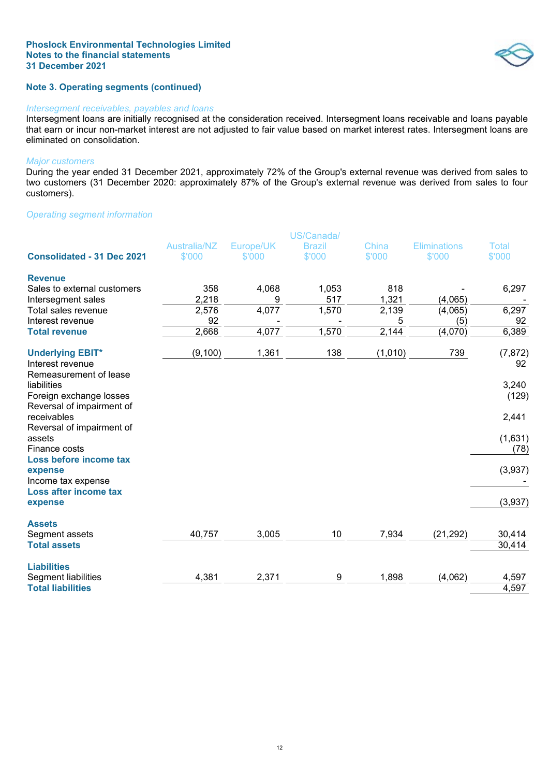# **Note 3. Operating segments (continued)**

#### *Intersegment receivables, payables and loans*

Intersegment loans are initially recognised at the consideration received. Intersegment loans receivable and loans payable that earn or incur non-market interest are not adjusted to fair value based on market interest rates. Intersegment loans are eliminated on consolidation.

#### *Major customers*

During the year ended 31 December 2021, approximately 72% of the Group's external revenue was derived from sales to two customers (31 December 2020: approximately 87% of the Group's external revenue was derived from sales to four customers).

## *Operating segment information*

|                                     | US/Canada/          |           |               |              |                     |              |
|-------------------------------------|---------------------|-----------|---------------|--------------|---------------------|--------------|
|                                     | <b>Australia/NZ</b> | Europe/UK | <b>Brazil</b> | <b>China</b> | <b>Eliminations</b> | <b>Total</b> |
| <b>Consolidated - 31 Dec 2021</b>   | \$'000              | \$'000    | \$'000        | \$'000       | \$'000              | \$'000       |
| <b>Revenue</b>                      |                     |           |               |              |                     |              |
| Sales to external customers         | 358                 | 4,068     | 1,053         | 818          |                     | 6,297        |
| Intersegment sales                  | 2,218               | 9         | 517           | 1,321        | (4,065)             |              |
| Total sales revenue                 | 2,576               | 4,077     | 1,570         | 2,139        | (4,065)             | 6,297        |
| Interest revenue                    | 92                  |           |               | 5            | (5)                 | 92           |
| <b>Total revenue</b>                | 2,668               | 4,077     | 1,570         | 2,144        | (4,070)             | 6,389        |
| <b>Underlying EBIT*</b>             | (9, 100)            | 1,361     | 138           | (1,010)      | 739                 | (7, 872)     |
| Interest revenue                    |                     |           |               |              |                     | 92           |
| Remeasurement of lease              |                     |           |               |              |                     |              |
| liabilities                         |                     |           |               |              |                     | 3,240        |
| Foreign exchange losses             |                     |           |               |              |                     | (129)        |
| Reversal of impairment of           |                     |           |               |              |                     |              |
| receivables                         |                     |           |               |              |                     | 2,441        |
| Reversal of impairment of<br>assets |                     |           |               |              |                     |              |
| Finance costs                       |                     |           |               |              |                     | (1,631)      |
| Loss before income tax              |                     |           |               |              |                     | (78)         |
| expense                             |                     |           |               |              |                     | (3,937)      |
| Income tax expense                  |                     |           |               |              |                     |              |
| Loss after income tax               |                     |           |               |              |                     |              |
| expense                             |                     |           |               |              |                     | (3,937)      |
| <b>Assets</b>                       |                     |           |               |              |                     |              |
| Segment assets                      | 40,757              | 3,005     | 10            | 7,934        | (21, 292)           | 30,414       |
| <b>Total assets</b>                 |                     |           |               |              |                     | 30,414       |
| <b>Liabilities</b>                  |                     |           |               |              |                     |              |
| Segment liabilities                 | 4,381               | 2,371     | 9             | 1,898        | (4,062)             | 4,597        |
| <b>Total liabilities</b>            |                     |           |               |              |                     | 4,597        |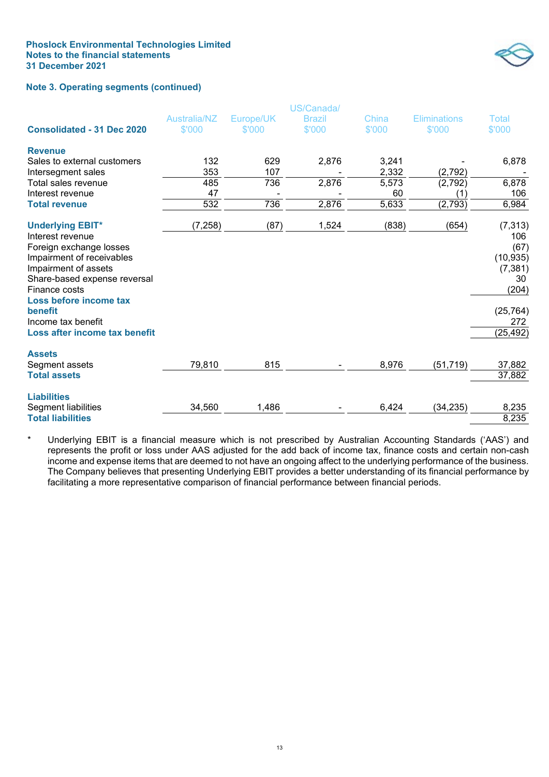

# **Note 3. Operating segments (continued)**

|                                                                                                                                                                                                        |                     |           | US/Canada/    |        |                     |                                                                 |
|--------------------------------------------------------------------------------------------------------------------------------------------------------------------------------------------------------|---------------------|-----------|---------------|--------|---------------------|-----------------------------------------------------------------|
|                                                                                                                                                                                                        | <b>Australia/NZ</b> | Europe/UK | <b>Brazil</b> | China  | <b>Eliminations</b> | Total                                                           |
| <b>Consolidated - 31 Dec 2020</b>                                                                                                                                                                      | \$'000              | \$'000    | \$'000        | \$'000 | \$'000              | \$'000                                                          |
| <b>Revenue</b>                                                                                                                                                                                         |                     |           |               |        |                     |                                                                 |
| Sales to external customers                                                                                                                                                                            | 132                 | 629       | 2,876         | 3,241  |                     | 6,878                                                           |
| Intersegment sales                                                                                                                                                                                     | 353                 | 107       |               | 2,332  | (2, 792)            |                                                                 |
| Total sales revenue                                                                                                                                                                                    | 485                 | 736       | 2,876         | 5,573  | (2,792)             | 6,878                                                           |
| Interest revenue                                                                                                                                                                                       | 47                  |           |               | 60     | (1)                 | 106                                                             |
| <b>Total revenue</b>                                                                                                                                                                                   | 532                 | 736       | 2,876         | 5,633  | (2,793)             | 6,984                                                           |
| <b>Underlying EBIT*</b><br>Interest revenue<br>Foreign exchange losses<br>Impairment of receivables<br>Impairment of assets<br>Share-based expense reversal<br>Finance costs<br>Loss before income tax | (7, 258)            | (87)      | 1,524         | (838)  | (654)               | (7, 313)<br>106<br>(67)<br>(10, 935)<br>(7, 381)<br>30<br>(204) |
| benefit                                                                                                                                                                                                |                     |           |               |        |                     | (25, 764)                                                       |
| Income tax benefit                                                                                                                                                                                     |                     |           |               |        |                     | 272                                                             |
| Loss after income tax benefit                                                                                                                                                                          |                     |           |               |        |                     | (25, 492)                                                       |
| <b>Assets</b><br>Segment assets                                                                                                                                                                        | 79,810              | 815       |               | 8,976  | (51, 719)           | 37,882                                                          |
| <b>Total assets</b>                                                                                                                                                                                    |                     |           |               |        |                     | 37,882                                                          |
| <b>Liabilities</b>                                                                                                                                                                                     |                     |           |               |        |                     |                                                                 |
| Segment liabilities                                                                                                                                                                                    | 34,560              | 1,486     |               | 6,424  | (34, 235)           | 8,235                                                           |
| <b>Total liabilities</b>                                                                                                                                                                               |                     |           |               |        |                     | 8,235                                                           |

Underlying EBIT is a financial measure which is not prescribed by Australian Accounting Standards ('AAS') and represents the profit or loss under AAS adjusted for the add back of income tax, finance costs and certain non-cash income and expense items that are deemed to not have an ongoing affect to the underlying performance of the business. The Company believes that presenting Underlying EBIT provides a better understanding of its financial performance by facilitating a more representative comparison of financial performance between financial periods.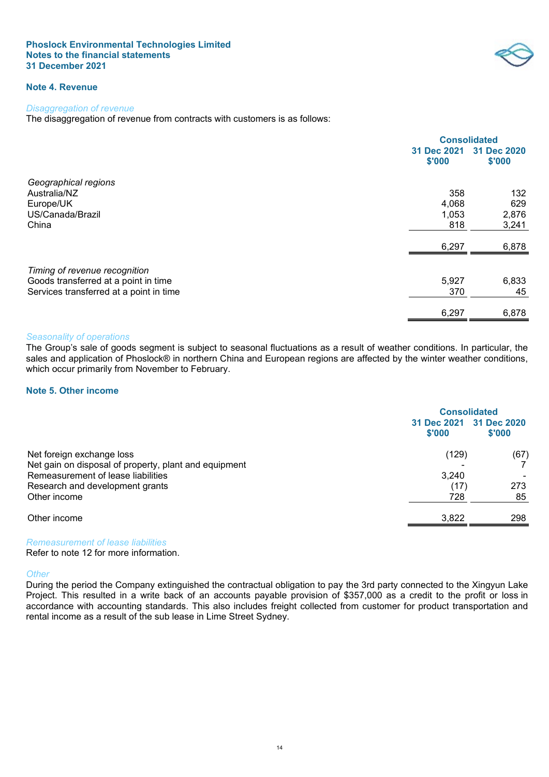

# **Note 4. Revenue**

#### *Disaggregation of revenue*

The disaggregation of revenue from contracts with customers is as follows:

|                                         | <b>Consolidated</b>   |                       |
|-----------------------------------------|-----------------------|-----------------------|
|                                         | 31 Dec 2021<br>\$'000 | 31 Dec 2020<br>\$'000 |
| Geographical regions                    |                       |                       |
| Australia/NZ                            | 358                   | 132                   |
| Europe/UK                               | 4,068                 | 629                   |
| US/Canada/Brazil                        | 1,053                 | 2,876                 |
| China                                   | 818                   | 3,241                 |
|                                         | 6,297                 | 6,878                 |
| Timing of revenue recognition           |                       |                       |
| Goods transferred at a point in time    | 5,927                 | 6,833                 |
| Services transferred at a point in time | 370                   | 45                    |
|                                         | 6,297                 | 6,878                 |

#### *Seasonality of operations*

The Group's sale of goods segment is subject to seasonal fluctuations as a result of weather conditions. In particular, the sales and application of Phoslock® in northern China and European regions are affected by the winter weather conditions, which occur primarily from November to February.

## **Note 5. Other income**

<span id="page-17-0"></span>

|                                                       | <b>Consolidated</b>   |                       |
|-------------------------------------------------------|-----------------------|-----------------------|
|                                                       | 31 Dec 2021<br>\$'000 | 31 Dec 2020<br>\$'000 |
| Net foreign exchange loss                             | (129)                 | (67)                  |
| Net gain on disposal of property, plant and equipment |                       |                       |
| Remeasurement of lease liabilities                    | 3,240                 |                       |
| Research and development grants                       | (17)                  | 273                   |
| Other income                                          | 728                   | 85                    |
| Other income                                          | 3,822                 | 298                   |
|                                                       |                       |                       |

*Remeasurement of lease liabilities*

Refer to note 12 for more information.

#### *Other*

During the period the Company extinguished the contractual obligation to pay the 3rd party connected to the Xingyun Lake Project. This resulted in a write back of an accounts payable provision of \$357,000 as a credit to the profit or loss in accordance with accounting standards. This also includes freight collected from customer for product transportation and rental income as a result of the sub lease in Lime Street Sydney.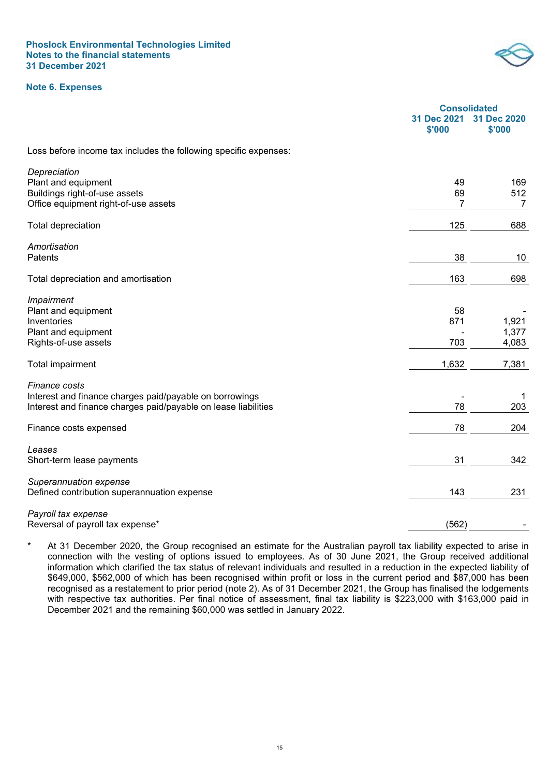## **Note 6. Expenses**



<span id="page-18-0"></span>

|                                                                  | <b>Consolidated</b>   |                       |
|------------------------------------------------------------------|-----------------------|-----------------------|
|                                                                  | 31 Dec 2021<br>\$'000 | 31 Dec 2020<br>\$'000 |
| Loss before income tax includes the following specific expenses: |                       |                       |
| Depreciation                                                     |                       |                       |
| Plant and equipment                                              | 49                    | 169                   |
| Buildings right-of-use assets                                    | 69                    | 512                   |
| Office equipment right-of-use assets                             | 7                     | $\overline{7}$        |
| <b>Total depreciation</b>                                        | 125                   | 688                   |
| Amortisation                                                     |                       |                       |
| Patents                                                          | 38                    | 10                    |
| Total depreciation and amortisation                              | 163                   | 698                   |
|                                                                  |                       |                       |
| Impairment                                                       |                       |                       |
| Plant and equipment                                              | 58                    |                       |
| Inventories                                                      | 871                   | 1,921                 |
| Plant and equipment<br>Rights-of-use assets                      | 703                   | 1,377<br>4,083        |
|                                                                  |                       |                       |
| Total impairment                                                 | 1,632                 | 7,381                 |
| Finance costs                                                    |                       |                       |
| Interest and finance charges paid/payable on borrowings          |                       | 1                     |
| Interest and finance charges paid/payable on lease liabilities   | 78                    | 203                   |
| Finance costs expensed                                           | 78                    | 204                   |
| Leases                                                           |                       |                       |
| Short-term lease payments                                        | 31                    | 342                   |
| Superannuation expense                                           |                       |                       |
| Defined contribution superannuation expense                      | 143                   | 231                   |
| Payroll tax expense                                              |                       |                       |
| Reversal of payroll tax expense*                                 | (562)                 |                       |

At 31 December 2020, the Group recognised an estimate for the Australian payroll tax liability expected to arise in connection with the vesting of options issued to employees. As of 30 June 2021, the Group received additional information which clarified the tax status of relevant individuals and resulted in a reduction in the expected liability of \$649,000, \$562,000 of which has been recognised within profit or loss in the current period and \$87,000 has been recognised as a restatement to prior period (note 2). As of 31 December 2021, the Group has finalised the lodgements with respective tax authorities. Per final notice of assessment, final tax liability is \$223,000 with \$163,000 paid in December 2021 and the remaining \$60,000 was settled in January 2022.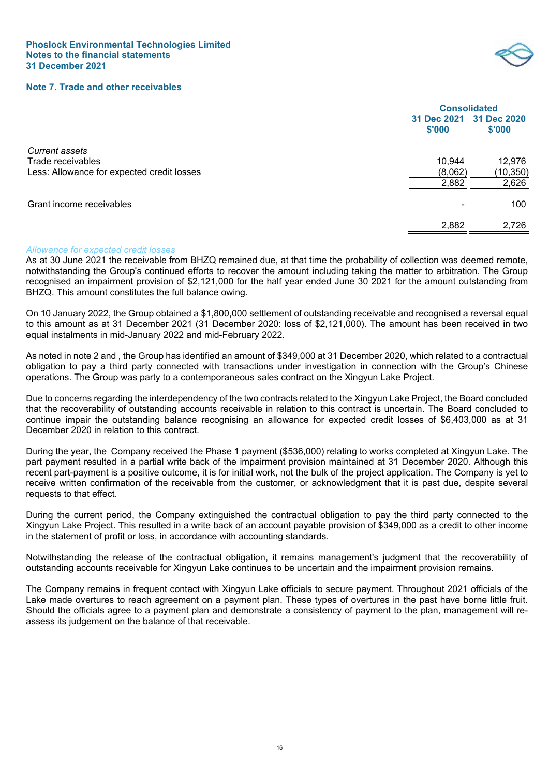

## **Note 7. Trade and other receivables**

<span id="page-19-0"></span>

|                                            | <b>Consolidated</b> |                                   |
|--------------------------------------------|---------------------|-----------------------------------|
|                                            | \$'000              | 31 Dec 2021 31 Dec 2020<br>\$'000 |
| <b>Current assets</b>                      |                     |                                   |
| Trade receivables                          | 10,944              | 12,976                            |
| Less: Allowance for expected credit losses | (8,062)             | (10, 350)                         |
|                                            | 2,882               | 2,626                             |
| Grant income receivables                   |                     | 100                               |
|                                            | 2,882               | 2,726                             |

#### *Allowance for expected credit losses*

As at 30 June 2021 the receivable from BHZQ remained due, at that time the probability of collection was deemed remote, notwithstanding the Group's continued efforts to recover the amount including taking the matter to arbitration. The Group recognised an impairment provision of \$2,121,000 for the half year ended June 30 2021 for the amount outstanding from BHZQ. This amount constitutes the full balance owing.

On 10 January 2022, the Group obtained a \$1,800,000 settlement of outstanding receivable and recognised a reversal equal to this amount as at 31 December 2021 (31 December 2020: loss of \$2,121,000). The amount has been received in two equal instalments in mid-January 2022 and mid-February 2022.

As noted in note 2 and , the Group has identified an amount of \$349,000 at 31 December 2020, which related to a contractual obligation to pay a third party connected with transactions under investigation in connection with the Group's Chinese operations. The Group was party to a contemporaneous sales contract on the Xingyun Lake Project.

Due to concerns regarding the interdependency of the two contracts related to the Xingyun Lake Project, the Board concluded that the recoverability of outstanding accounts receivable in relation to this contract is uncertain. The Board concluded to continue impair the outstanding balance recognising an allowance for expected credit losses of \$6,403,000 as at 31 December 2020 in relation to this contract.

During the year, the  Company received the Phase 1 payment (\$536,000) relating to works completed at Xingyun Lake. The part payment resulted in a partial write back of the impairment provision maintained at 31 December 2020. Although this recent part-payment is a positive outcome, it is for initial work, not the bulk of the project application. The Company is yet to receive written confirmation of the receivable from the customer, or acknowledgment that it is past due, despite several requests to that effect.

During the current period, the Company extinguished the contractual obligation to pay the third party connected to the Xingyun Lake Project. This resulted in a write back of an account payable provision of \$349,000 as a credit to other income in the statement of profit or loss, in accordance with accounting standards.

Notwithstanding the release of the contractual obligation, it remains management's judgment that the recoverability of outstanding accounts receivable for Xingyun Lake continues to be uncertain and the impairment provision remains.

The Company remains in frequent contact with Xingyun Lake officials to secure payment. Throughout 2021 officials of the Lake made overtures to reach agreement on a payment plan. These types of overtures in the past have borne little fruit. Should the officials agree to a payment plan and demonstrate a consistency of payment to the plan, management will reassess its judgement on the balance of that receivable.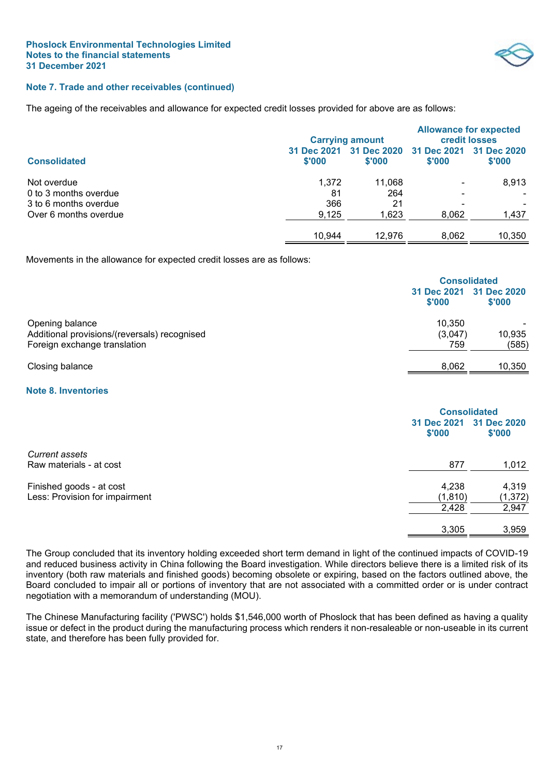

# **Note 7. Trade and other receivables (continued)**

The ageing of the receivables and allowance for expected credit losses provided for above are as follows:

|                       |                       | <b>Carrying amount</b> | <b>Allowance for expected</b><br><b>credit losses</b> |                       |  |
|-----------------------|-----------------------|------------------------|-------------------------------------------------------|-----------------------|--|
| <b>Consolidated</b>   | 31 Dec 2021<br>\$'000 | \$'000                 | 31 Dec 2020 31 Dec 2021<br>\$'000                     | 31 Dec 2020<br>\$'000 |  |
| Not overdue           | 1,372                 | 11,068                 | $\overline{\phantom{0}}$                              | 8,913                 |  |
| 0 to 3 months overdue | 81                    | 264                    | -                                                     | $\sim$                |  |
| 3 to 6 months overdue | 366                   | 21                     |                                                       |                       |  |
| Over 6 months overdue | 9,125                 | 1,623                  | 8,062                                                 | 1,437                 |  |
|                       | 10,944                | 12.976                 | 8,062                                                 | 10,350                |  |

Movements in the allowance for expected credit losses are as follows:

|                                                                 | <b>Consolidated</b>               |        |
|-----------------------------------------------------------------|-----------------------------------|--------|
|                                                                 | 31 Dec 2021 31 Dec 2020<br>\$'000 | \$'000 |
| Opening balance<br>Additional provisions/(reversals) recognised | 10.350<br>(3,047)                 | 10,935 |
| Foreign exchange translation                                    | 759                               | (585)  |
| Closing balance                                                 | 8,062                             | 10,350 |

## **Note 8. Inventories**

<span id="page-20-0"></span>

|                       | <b>Consolidated</b>   |  |
|-----------------------|-----------------------|--|
| 31 Dec 2021<br>\$'000 | 31 Dec 2020<br>\$'000 |  |
|                       |                       |  |
| 877                   | 1,012                 |  |
| 4,238                 | 4,319                 |  |
| (1, 810)              | (1, 372)              |  |
| 2,428                 | 2,947                 |  |
| 3,305                 | 3,959                 |  |
|                       |                       |  |

The Group concluded that its inventory holding exceeded short term demand in light of the continued impacts of COVID-19 and reduced business activity in China following the Board investigation. While directors believe there is a limited risk of its inventory (both raw materials and finished goods) becoming obsolete or expiring, based on the factors outlined above, the Board concluded to impair all or portions of inventory that are not associated with a committed order or is under contract negotiation with a memorandum of understanding (MOU).

The Chinese Manufacturing facility ('PWSC') holds \$1,546,000 worth of Phoslock that has been defined as having a quality issue or defect in the product during the manufacturing process which renders it non-resaleable or non-useable in its current state, and therefore has been fully provided for.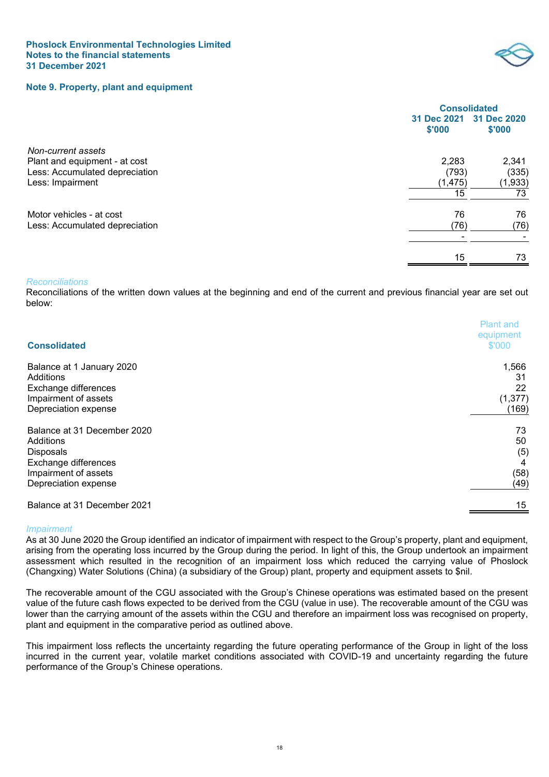<span id="page-21-0"></span>



|                                |          | <b>Consolidated</b>               |
|--------------------------------|----------|-----------------------------------|
|                                | \$'000   | 31 Dec 2021 31 Dec 2020<br>\$'000 |
| Non-current assets             |          |                                   |
| Plant and equipment - at cost  | 2,283    | 2,341                             |
| Less: Accumulated depreciation | (793)    | (335)                             |
| Less: Impairment               | (1, 475) | (1,933)                           |
|                                | 15       | 73                                |
| Motor vehicles - at cost       | 76       | 76                                |
| Less: Accumulated depreciation | (76)     | (76)                              |
|                                |          |                                   |
|                                | 15       | 73                                |
|                                |          |                                   |

## *Reconciliations*

Reconciliations of the written down values at the beginning and end of the current and previous financial year are set out below:

| <b>Consolidated</b>         | <b>Plant and</b><br>equipment<br>\$'000 |
|-----------------------------|-----------------------------------------|
| Balance at 1 January 2020   | 1,566                                   |
| Additions                   | 31                                      |
| Exchange differences        | 22                                      |
| Impairment of assets        | (1, 377)                                |
| Depreciation expense        | (169)                                   |
| Balance at 31 December 2020 | 73                                      |
| Additions                   | 50                                      |
| <b>Disposals</b>            | (5)                                     |
| Exchange differences        | 4                                       |
| Impairment of assets        | (58)                                    |
| Depreciation expense        | (49)                                    |
| Balance at 31 December 2021 | 15                                      |

#### *Impairment*

As at 30 June 2020 the Group identified an indicator of impairment with respect to the Group's property, plant and equipment, arising from the operating loss incurred by the Group during the period. In light of this, the Group undertook an impairment assessment which resulted in the recognition of an impairment loss which reduced the carrying value of Phoslock (Changxing) Water Solutions (China) (a subsidiary of the Group) plant, property and equipment assets to \$nil.

The recoverable amount of the CGU associated with the Group's Chinese operations was estimated based on the present value of the future cash flows expected to be derived from the CGU (value in use). The recoverable amount of the CGU was lower than the carrying amount of the assets within the CGU and therefore an impairment loss was recognised on property, plant and equipment in the comparative period as outlined above.

This impairment loss reflects the uncertainty regarding the future operating performance of the Group in light of the loss incurred in the current year, volatile market conditions associated with COVID-19 and uncertainty regarding the future performance of the Group's Chinese operations.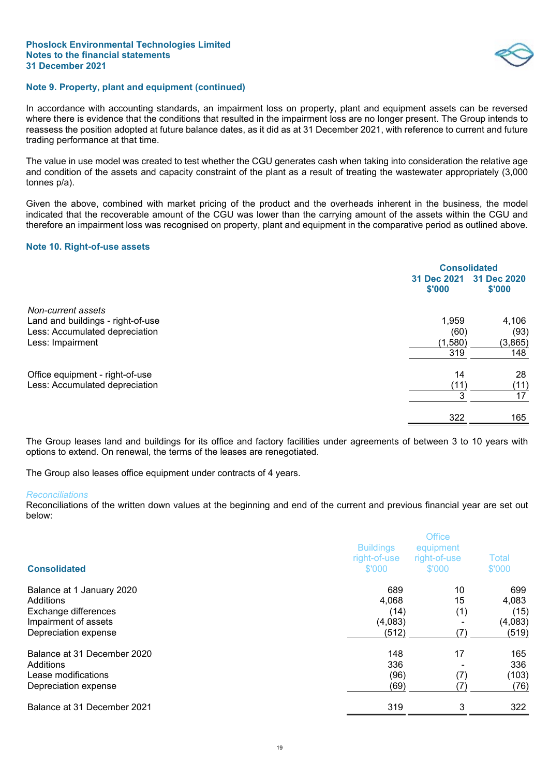## **Note 9. Property, plant and equipment (continued)**

In accordance with accounting standards, an impairment loss on property, plant and equipment assets can be reversed where there is evidence that the conditions that resulted in the impairment loss are no longer present. The Group intends to reassess the position adopted at future balance dates, as it did as at 31 December 2021, with reference to current and future trading performance at that time.

The value in use model was created to test whether the CGU generates cash when taking into consideration the relative age and condition of the assets and capacity constraint of the plant as a result of treating the wastewater appropriately (3,000 tonnes p/a).

Given the above, combined with market pricing of the product and the overheads inherent in the business, the model indicated that the recoverable amount of the CGU was lower than the carrying amount of the assets within the CGU and therefore an impairment loss was recognised on property, plant and equipment in the comparative period as outlined above.

## <span id="page-22-0"></span>**Note 10. Right-of-use assets**

|                                   | <b>Consolidated</b>   |                       |
|-----------------------------------|-----------------------|-----------------------|
|                                   | 31 Dec 2021<br>\$'000 | 31 Dec 2020<br>\$'000 |
| Non-current assets                |                       |                       |
| Land and buildings - right-of-use | 1,959                 | 4,106                 |
| Less: Accumulated depreciation    | (60)                  | (93)                  |
| Less: Impairment                  | (1,580)               | (3,865)               |
|                                   | 319                   | 148                   |
| Office equipment - right-of-use   | 14                    | 28                    |
| Less: Accumulated depreciation    | (11)                  | (11)                  |
|                                   | 3                     | 17                    |
|                                   | 322                   | 165                   |

The Group leases land and buildings for its office and factory facilities under agreements of between 3 to 10 years with options to extend. On renewal, the terms of the leases are renegotiated.

The Group also leases office equipment under contracts of 4 years.

#### *Reconciliations*

Reconciliations of the written down values at the beginning and end of the current and previous financial year are set out below:

| <b>Consolidated</b>                          | <b>Buildings</b><br>right-of-use<br>\$'000 | <b>Office</b><br>equipment<br>right-of-use<br>\$'000 | Total<br>\$'000  |
|----------------------------------------------|--------------------------------------------|------------------------------------------------------|------------------|
| Balance at 1 January 2020<br>Additions       | 689<br>4,068                               | 10<br>15                                             | 699<br>4,083     |
| Exchange differences                         | (14)                                       | (1)                                                  | (15)             |
| Impairment of assets<br>Depreciation expense | (4,083)<br>(512)                           | (7)                                                  | (4,083)<br>(519) |
| Balance at 31 December 2020                  | 148                                        | 17                                                   | 165              |
| Additions                                    | 336                                        |                                                      | 336              |
| Lease modifications                          | (96)                                       | (7)                                                  | (103)            |
| Depreciation expense                         | (69)                                       | (7)                                                  | (76)             |
| Balance at 31 December 2021                  | 319                                        | 3                                                    | 322              |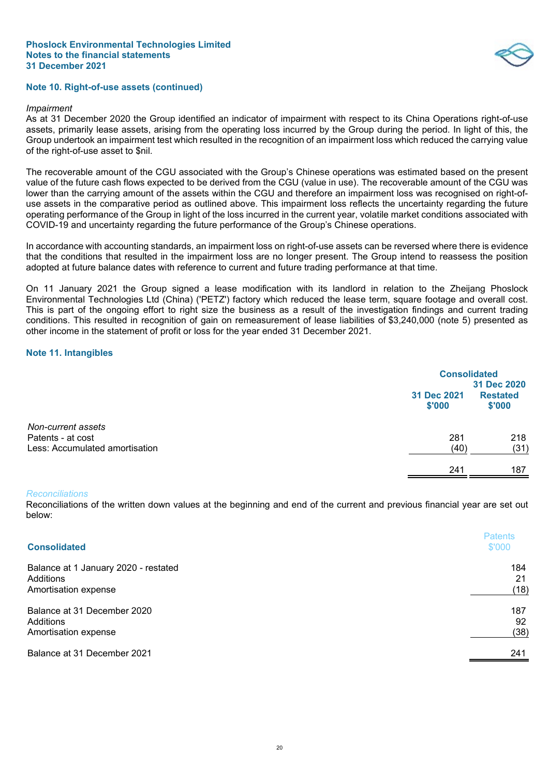

## **Note 10. Right-of-use assets (continued)**

#### *Impairment*

As at 31 December 2020 the Group identified an indicator of impairment with respect to its China Operations right-of-use assets, primarily lease assets, arising from the operating loss incurred by the Group during the period. In light of this, the Group undertook an impairment test which resulted in the recognition of an impairment loss which reduced the carrying value of the right-of-use asset to \$nil.

The recoverable amount of the CGU associated with the Group's Chinese operations was estimated based on the present value of the future cash flows expected to be derived from the CGU (value in use). The recoverable amount of the CGU was lower than the carrying amount of the assets within the CGU and therefore an impairment loss was recognised on right-ofuse assets in the comparative period as outlined above. This impairment loss reflects the uncertainty regarding the future operating performance of the Group in light of the loss incurred in the current year, volatile market conditions associated with COVID-19 and uncertainty regarding the future performance of the Group's Chinese operations.

In accordance with accounting standards, an impairment loss on right-of-use assets can be reversed where there is evidence that the conditions that resulted in the impairment loss are no longer present. The Group intend to reassess the position adopted at future balance dates with reference to current and future trading performance at that time.

On 11 January 2021 the Group signed a lease modification with its landlord in relation to the Zheijang Phoslock Environmental Technologies Ltd (China) ('PETZ') factory which reduced the lease term, square footage and overall cost. This is part of the ongoing effort to right size the business as a result of the investigation findings and current trading conditions. This resulted in recognition of gain on remeasurement of lease liabilities of \$3,240,000 (note 5) presented as other income in the statement of profit or loss for the year ended 31 December 2021.

## <span id="page-23-0"></span>**Note 11. Intangibles**

|                                                     |                       | <b>Consolidated</b><br>31 Dec 2020 |  |
|-----------------------------------------------------|-----------------------|------------------------------------|--|
|                                                     | 31 Dec 2021<br>\$'000 | <b>Restated</b><br>\$'000          |  |
| Non-current assets                                  |                       |                                    |  |
| Patents - at cost<br>Less: Accumulated amortisation | 281<br>(40)           | 218<br>(31)                        |  |
|                                                     | 241                   | 187                                |  |

#### *Reconciliations*

Reconciliations of the written down values at the beginning and end of the current and previous financial year are set out below:

| <b>Consolidated</b>                  | <b>Patents</b><br>\$'000 |
|--------------------------------------|--------------------------|
| Balance at 1 January 2020 - restated | 184                      |
| Additions                            | 21                       |
| Amortisation expense                 | (18)                     |
| Balance at 31 December 2020          | 187                      |
| Additions                            | 92                       |
| Amortisation expense                 | (38)                     |
| Balance at 31 December 2021          | 241                      |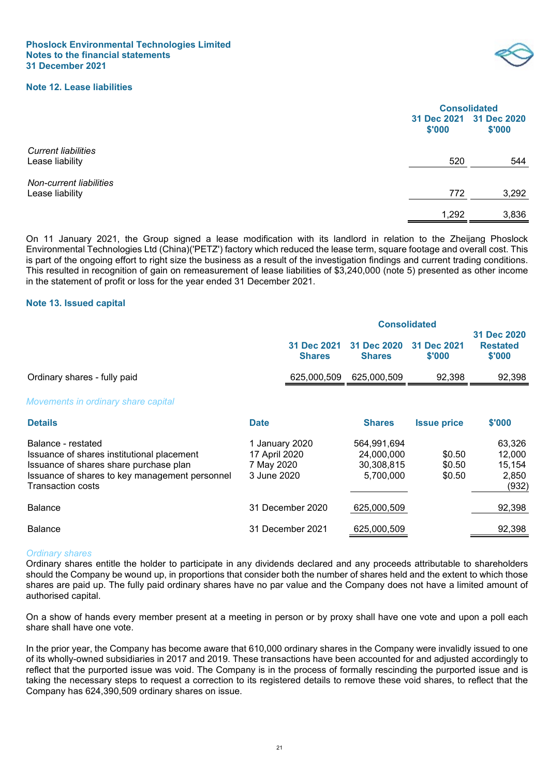## **Note 12. Lease liabilities**



<span id="page-24-0"></span>

|                                               | <b>Consolidated</b> |                                   |
|-----------------------------------------------|---------------------|-----------------------------------|
|                                               | \$'000              | 31 Dec 2021 31 Dec 2020<br>\$'000 |
| <b>Current liabilities</b><br>Lease liability | 520                 | 544                               |
| Non-current liabilities<br>Lease liability    | 772                 | 3,292                             |
|                                               | 1,292               | 3,836                             |

On 11 January 2021, the Group signed a lease modification with its landlord in relation to the Zheijang Phoslock Environmental Technologies Ltd (China)('PETZ') factory which reduced the lease term, square footage and overall cost. This is part of the ongoing effort to right size the business as a result of the investigation findings and current trading conditions. This resulted in recognition of gain on remeasurement of lease liabilities of \$3,240,000 (note 5) presented as other income in the statement of profit or loss for the year ended 31 December 2021.

#### <span id="page-24-1"></span>**Note 13. Issued capital**

|                                                                                                                                                                                          |                                                              | <b>Consolidated</b>          |                                                      |                            |                                              |
|------------------------------------------------------------------------------------------------------------------------------------------------------------------------------------------|--------------------------------------------------------------|------------------------------|------------------------------------------------------|----------------------------|----------------------------------------------|
|                                                                                                                                                                                          |                                                              | 31 Dec 2021<br><b>Shares</b> | 31 Dec 2020<br><b>Shares</b>                         | 31 Dec 2021<br>\$'000      | 31 Dec 2020<br><b>Restated</b><br>\$'000     |
| Ordinary shares - fully paid                                                                                                                                                             |                                                              | 625,000,509                  | 625,000,509                                          | 92,398                     | 92,398                                       |
| Movements in ordinary share capital                                                                                                                                                      |                                                              |                              |                                                      |                            |                                              |
| <b>Details</b>                                                                                                                                                                           | <b>Date</b>                                                  |                              | <b>Shares</b>                                        | <b>Issue price</b>         | \$'000                                       |
| Balance - restated<br>Issuance of shares institutional placement<br>Issuance of shares share purchase plan<br>Issuance of shares to key management personnel<br><b>Transaction costs</b> | 1 January 2020<br>17 April 2020<br>7 May 2020<br>3 June 2020 |                              | 564,991,694<br>24,000,000<br>30,308,815<br>5,700,000 | \$0.50<br>\$0.50<br>\$0.50 | 63,326<br>12,000<br>15,154<br>2,850<br>(932) |
| <b>Balance</b>                                                                                                                                                                           |                                                              | 31 December 2020             | 625,000,509                                          |                            | 92,398                                       |
| <b>Balance</b>                                                                                                                                                                           |                                                              | 31 December 2021             | 625,000,509                                          |                            | 92,398                                       |

## *Ordinary shares*

Ordinary shares entitle the holder to participate in any dividends declared and any proceeds attributable to shareholders should the Company be wound up, in proportions that consider both the number of shares held and the extent to which those shares are paid up. The fully paid ordinary shares have no par value and the Company does not have a limited amount of authorised capital.

On a show of hands every member present at a meeting in person or by proxy shall have one vote and upon a poll each share shall have one vote.

In the prior year, the Company has become aware that 610,000 ordinary shares in the Company were invalidly issued to one of its wholly-owned subsidiaries in 2017 and 2019. These transactions have been accounted for and adjusted accordingly to reflect that the purported issue was void. The Company is in the process of formally rescinding the purported issue and is taking the necessary steps to request a correction to its registered details to remove these void shares, to reflect that the Company has 624,390,509 ordinary shares on issue.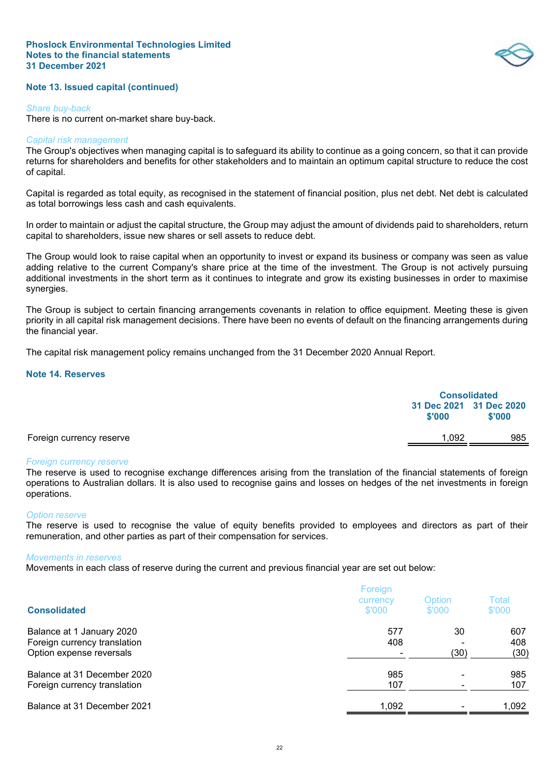## **Note 13. Issued capital (continued)**

#### *Share buy-back*

There is no current on-market share buy-back.

#### *Capital risk management*

The Group's objectives when managing capital is to safeguard its ability to continue as a going concern, so that it can provide returns for shareholders and benefits for other stakeholders and to maintain an optimum capital structure to reduce the cost of capital.

Capital is regarded as total equity, as recognised in the statement of financial position, plus net debt. Net debt is calculated as total borrowings less cash and cash equivalents.

In order to maintain or adjust the capital structure, the Group may adjust the amount of dividends paid to shareholders, return capital to shareholders, issue new shares or sell assets to reduce debt.

The Group would look to raise capital when an opportunity to invest or expand its business or company was seen as value adding relative to the current Company's share price at the time of the investment. The Group is not actively pursuing additional investments in the short term as it continues to integrate and grow its existing businesses in order to maximise synergies.

The Group is subject to certain financing arrangements covenants in relation to office equipment. Meeting these is given priority in all capital risk management decisions. There have been no events of default on the financing arrangements during the financial year.

The capital risk management policy remains unchanged from the 31 December 2020 Annual Report.

## **Note 14. Reserves**

<span id="page-25-0"></span>

|                          | <b>Consolidated</b> |                                   |
|--------------------------|---------------------|-----------------------------------|
|                          | \$'000              | 31 Dec 2021 31 Dec 2020<br>\$'000 |
| Foreign currency reserve | 1.092               | 985                               |

#### *Foreign currency reserve*

The reserve is used to recognise exchange differences arising from the translation of the financial statements of foreign operations to Australian dollars. It is also used to recognise gains and losses on hedges of the net investments in foreign operations.

#### *Option reserve*

The reserve is used to recognise the value of equity benefits provided to employees and directors as part of their remuneration, and other parties as part of their compensation for services.

#### *Movements in reserves*

Movements in each class of reserve during the current and previous financial year are set out below:

| <b>Consolidated</b>                                                                   | Foreign<br>currency<br>\$'000 | Option<br>\$'000 | Total<br>\$'000    |
|---------------------------------------------------------------------------------------|-------------------------------|------------------|--------------------|
| Balance at 1 January 2020<br>Foreign currency translation<br>Option expense reversals | 577<br>408                    | 30<br>(30)       | 607<br>408<br>(30) |
| Balance at 31 December 2020<br>Foreign currency translation                           | 985<br>107                    |                  | 985<br>107         |
| Balance at 31 December 2021                                                           | 1,092                         |                  | 1,092              |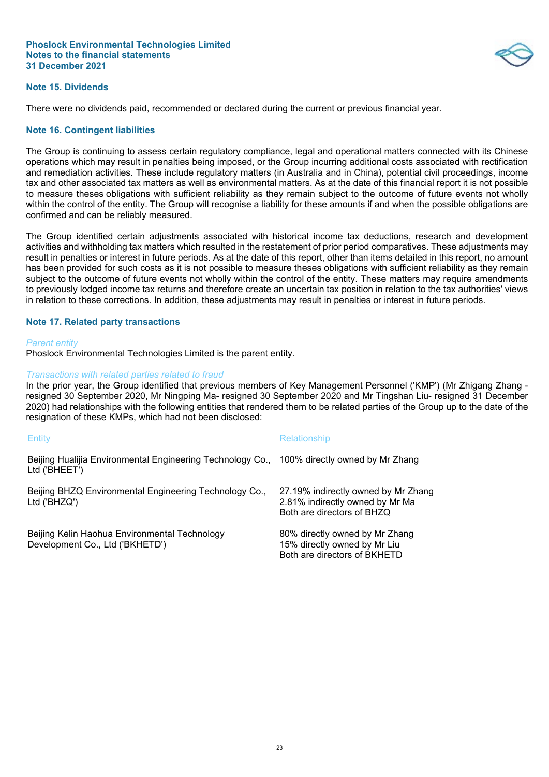

## **Note 15. Dividends**

There were no dividends paid, recommended or declared during the current or previous financial year.

## **Note 16. Contingent liabilities**

The Group is continuing to assess certain regulatory compliance, legal and operational matters connected with its Chinese operations which may result in penalties being imposed, or the Group incurring additional costs associated with rectification and remediation activities. These include regulatory matters (in Australia and in China), potential civil proceedings, income tax and other associated tax matters as well as environmental matters. As at the date of this financial report it is not possible to measure theses obligations with sufficient reliability as they remain subject to the outcome of future events not wholly within the control of the entity. The Group will recognise a liability for these amounts if and when the possible obligations are confirmed and can be reliably measured.

The Group identified certain adjustments associated with historical income tax deductions, research and development activities and withholding tax matters which resulted in the restatement of prior period comparatives. These adjustments may result in penalties or interest in future periods. As at the date of this report, other than items detailed in this report, no amount has been provided for such costs as it is not possible to measure theses obligations with sufficient reliability as they remain subject to the outcome of future events not wholly within the control of the entity. These matters may require amendments to previously lodged income tax returns and therefore create an uncertain tax position in relation to the tax authorities' views in relation to these corrections. In addition, these adjustments may result in penalties or interest in future periods.

## **Note 17. Related party transactions**

#### *Parent entity*

Phoslock Environmental Technologies Limited is the parent entity.

## *Transactions with related parties related to fraud*

In the prior year, the Group identified that previous members of Key Management Personnel ('KMP') (Mr Zhigang Zhang resigned 30 September 2020, Mr Ningping Ma- resigned 30 September 2020 and Mr Tingshan Liu- resigned 31 December 2020) had relationships with the following entities that rendered them to be related parties of the Group up to the date of the resignation of these KMPs, which had not been disclosed:

| Entity                                                                                                      | Relationship                                                                                         |
|-------------------------------------------------------------------------------------------------------------|------------------------------------------------------------------------------------------------------|
| Beijing Hualijia Environmental Engineering Technology Co., 100% directly owned by Mr Zhang<br>Ltd ('BHEET') |                                                                                                      |
| Beijing BHZQ Environmental Engineering Technology Co.,<br>Ltd ('BHZQ')                                      | 27.19% indirectly owned by Mr Zhang<br>2.81% indirectly owned by Mr Ma<br>Both are directors of BHZQ |
| Beijing Kelin Haohua Environmental Technology<br>Development Co., Ltd ('BKHETD')                            | 80% directly owned by Mr Zhang<br>15% directly owned by Mr Liu<br>Both are directors of BKHETD       |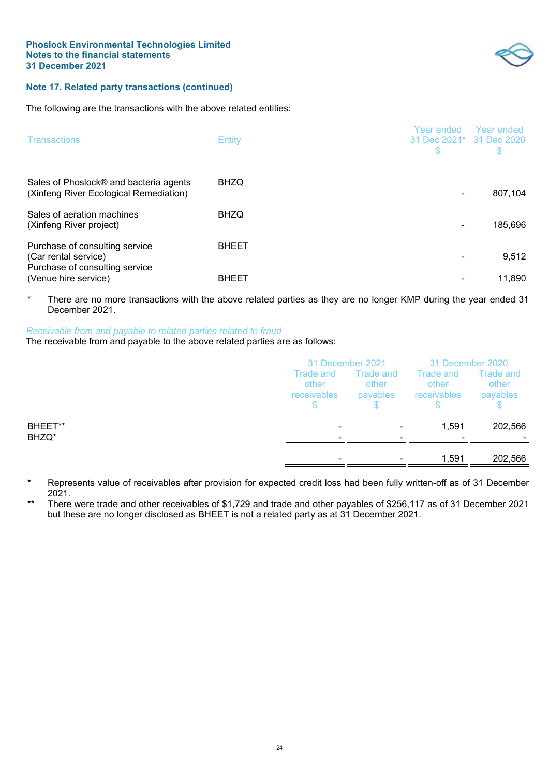

# **Note 17. Related party transactions (continued)**

The following are the transactions with the above related entities:

| <b>Transactions</b>                                                                      | <b>Entity</b> | Year ended<br>31 Dec 2021* 31 Dec 2020<br>S | Year ended<br>S |
|------------------------------------------------------------------------------------------|---------------|---------------------------------------------|-----------------|
| Sales of Phoslock® and bacteria agents<br>(Xinfeng River Ecological Remediation)         | <b>BHZQ</b>   |                                             | 807,104         |
| Sales of aeration machines<br>(Xinfeng River project)                                    | <b>BHZQ</b>   |                                             | 185,696         |
| Purchase of consulting service<br>(Car rental service)<br>Purchase of consulting service | <b>BHEET</b>  |                                             | 9,512           |
| (Venue hire service)                                                                     | <b>BHEET</b>  |                                             | 11.890          |

\* There are no more transactions with the above related parties as they are no longer KMP during the year ended 31 December 2021.

## *Receivable from and payable to related parties related to fraud*

The receivable from and payable to the above related parties are as follows:

|                  | 31 December 2021                                     |                                | 31 December 2020                  |                                       |
|------------------|------------------------------------------------------|--------------------------------|-----------------------------------|---------------------------------------|
|                  | Trade and<br>other<br>receivables                    | Trade and<br>other<br>payables | Trade and<br>other<br>receivables | <b>Trade and</b><br>other<br>payables |
| BHEET**<br>BHZQ* | $\overline{\phantom{0}}$<br>$\overline{\phantom{0}}$ |                                | 1,591                             | 202,566                               |
|                  | $\overline{\phantom{0}}$                             |                                | 1,591                             | 202,566                               |

- Represents value of receivables after provision for expected credit loss had been fully written-off as of 31 December 2021.
- There were trade and other receivables of \$1,729 and trade and other payables of \$256,117 as of 31 December 2021 but these are no longer disclosed as BHEET is not a related party as at 31 December 2021.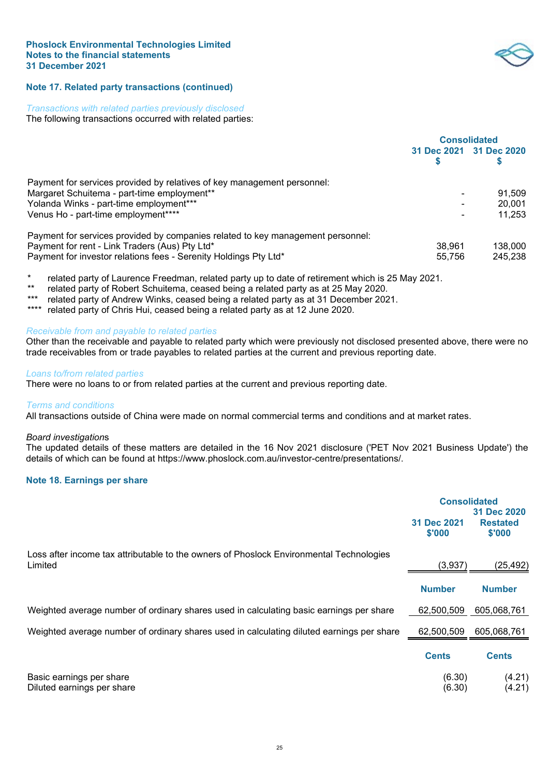

# **Note 17. Related party transactions (continued)**

#### *Transactions with related parties previously disclosed*

The following transactions occurred with related parties:

|                                                                                 | <b>Consolidated</b> |                         |  |
|---------------------------------------------------------------------------------|---------------------|-------------------------|--|
|                                                                                 |                     | 31 Dec 2021 31 Dec 2020 |  |
|                                                                                 |                     |                         |  |
| Payment for services provided by relatives of key management personnel:         |                     |                         |  |
| Margaret Schuitema - part-time employment**                                     |                     | 91.509                  |  |
| Yolanda Winks - part-time employment***                                         |                     | 20.001                  |  |
| Venus Ho - part-time employment****                                             |                     | 11.253                  |  |
| Payment for services provided by companies related to key management personnel: |                     |                         |  |
| Payment for rent - Link Traders (Aus) Pty Ltd*                                  | 38.961              | 138,000                 |  |
| Payment for investor relations fees - Serenity Holdings Pty Ltd*                | 55.756              | 245.238                 |  |

\* related party of Laurence Freedman, related party up to date of retirement which is 25 May 2021.

- \*\* related party of Robert Schuitema, ceased being a related party as at 25 May 2020.
- related party of Andrew Winks, ceased being a related party as at 31 December 2021.
- \*\*\*\* related party of Chris Hui, ceased being a related party as at 12 June 2020.

## *Receivable from and payable to related parties*

Other than the receivable and payable to related party which were previously not disclosed presented above, there were no trade receivables from or trade payables to related parties at the current and previous reporting date.

#### *Loans to/from related parties*

There were no loans to or from related parties at the current and previous reporting date.

#### *Terms and conditions*

All transactions outside of China were made on normal commercial terms and conditions and at market rates.

#### *Board investigation*s

The updated details of these matters are detailed in the 16 Nov 2021 disclosure ('PET Nov 2021 Business Update') the details of which can be found at https://www.phoslock.com.au/investor-centre/presentations/.

## **Note 18. Earnings per share**

<span id="page-28-0"></span>

|                                                                                                    | <b>Consolidated</b><br>31 Dec 2020 |                           |
|----------------------------------------------------------------------------------------------------|------------------------------------|---------------------------|
|                                                                                                    | 31 Dec 2021<br>\$'000              | <b>Restated</b><br>\$'000 |
| Loss after income tax attributable to the owners of Phoslock Environmental Technologies<br>Limited | (3,937)                            | (25,492)                  |
|                                                                                                    | <b>Number</b>                      | <b>Number</b>             |
| Weighted average number of ordinary shares used in calculating basic earnings per share            | 62,500,509                         | 605,068,761               |
| Weighted average number of ordinary shares used in calculating diluted earnings per share          | 62,500,509                         | 605,068,761               |
|                                                                                                    | <b>Cents</b>                       | <b>Cents</b>              |
| Basic earnings per share<br>Diluted earnings per share                                             | (6.30)<br>(6.30)                   | (4.21)<br>(4.21)          |